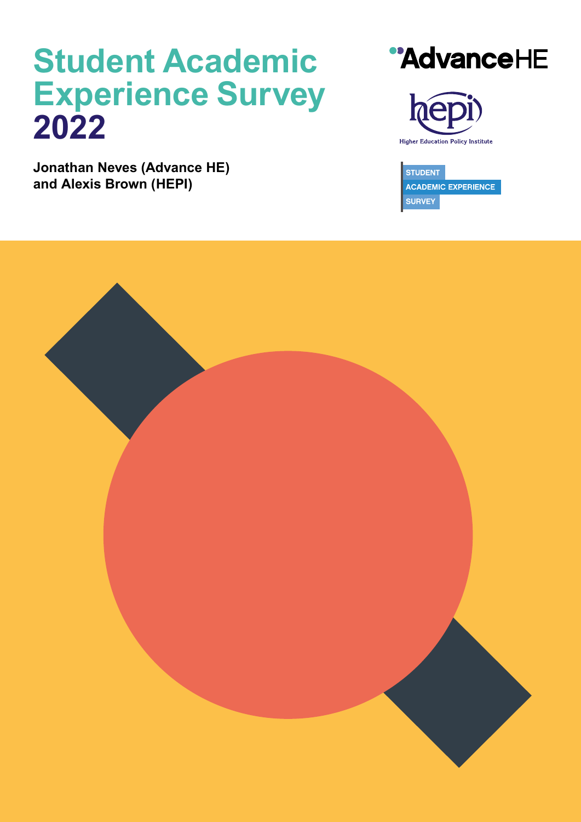# *Student Academic Experience Survey 2022*

*Jonathan Neves (Advance HE) and Alexis Brown (HEPI)*

# "AdvanceHE



**STUDENT ACADEMIC EXPERIENCE SURVEY** 

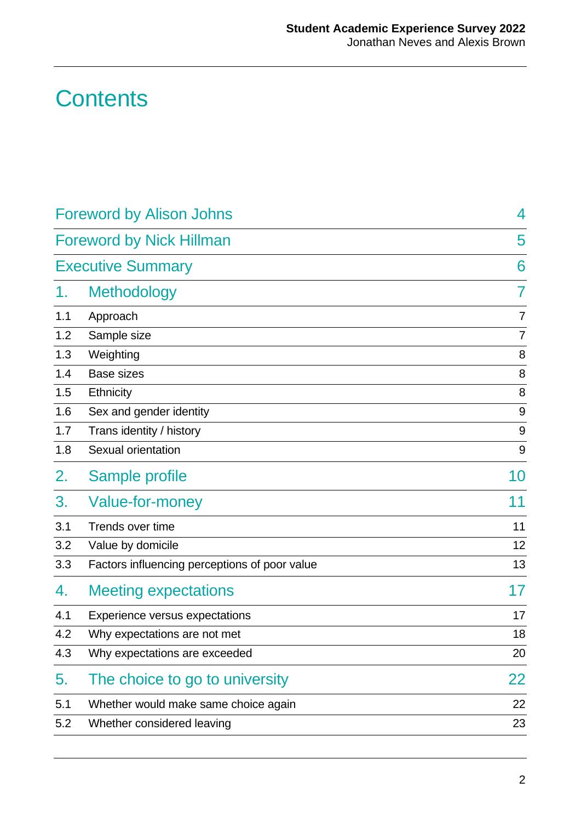## **Contents**

|     | <b>Foreword by Alison Johns</b>               | 4              |
|-----|-----------------------------------------------|----------------|
|     | <b>Foreword by Nick Hillman</b>               | 5              |
|     | <b>Executive Summary</b>                      | 6              |
| 1.  | <b>Methodology</b>                            | $\overline{7}$ |
| 1.1 | Approach                                      | $\overline{7}$ |
| 1.2 | Sample size                                   | $\overline{7}$ |
| 1.3 | Weighting                                     | 8              |
| 1.4 | <b>Base sizes</b>                             | 8              |
| 1.5 | <b>Ethnicity</b>                              | 8              |
| 1.6 | Sex and gender identity                       | 9              |
| 1.7 | Trans identity / history                      | 9              |
| 1.8 | Sexual orientation                            | $9\,$          |
| 2.  | Sample profile                                | 10             |
| 3.  | Value-for-money                               | 11             |
| 3.1 | Trends over time                              | 11             |
| 3.2 | Value by domicile                             | 12             |
| 3.3 | Factors influencing perceptions of poor value | 13             |
| 4.  | <b>Meeting expectations</b>                   | 17             |
| 4.1 | Experience versus expectations                | 17             |
| 4.2 | Why expectations are not met                  | 18             |
| 4.3 | Why expectations are exceeded                 | 20             |
| 5.  | The choice to go to university                | 22             |
| 5.1 | Whether would make same choice again          | 22             |
| 5.2 | Whether considered leaving                    | 23             |
|     |                                               |                |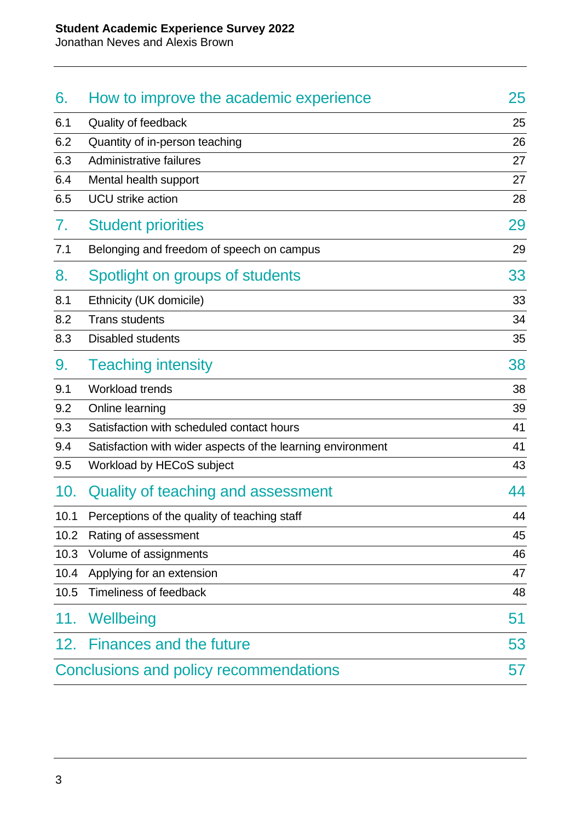Jonathan Neves and Alexis Brown

| 6.   | How to improve the academic experience                      | 25 |
|------|-------------------------------------------------------------|----|
| 6.1  | Quality of feedback                                         | 25 |
| 6.2  | Quantity of in-person teaching                              | 26 |
| 6.3  | Administrative failures                                     | 27 |
| 6.4  | Mental health support                                       | 27 |
| 6.5  | <b>UCU</b> strike action                                    | 28 |
| 7.   | <b>Student priorities</b>                                   | 29 |
| 7.1  | Belonging and freedom of speech on campus                   | 29 |
| 8.   | Spotlight on groups of students                             | 33 |
| 8.1  | Ethnicity (UK domicile)                                     | 33 |
| 8.2  | <b>Trans students</b>                                       | 34 |
| 8.3  | <b>Disabled students</b>                                    | 35 |
| 9.   | <b>Teaching intensity</b>                                   | 38 |
| 9.1  | Workload trends                                             | 38 |
| 9.2  | Online learning                                             | 39 |
| 9.3  | Satisfaction with scheduled contact hours                   | 41 |
| 9.4  | Satisfaction with wider aspects of the learning environment | 41 |
| 9.5  | Workload by HECoS subject                                   | 43 |
| 10.  | Quality of teaching and assessment                          | 44 |
| 10.1 | Perceptions of the quality of teaching staff                | 44 |
| 10.2 | Rating of assessment                                        | 45 |
| 10.3 | Volume of assignments                                       | 46 |
| 10.4 | Applying for an extension                                   | 47 |
| 10.5 | <b>Timeliness of feedback</b>                               | 48 |
| 11.  | Wellbeing                                                   | 51 |
| 12.  | <b>Finances and the future</b>                              | 53 |
|      | Conclusions and policy recommendations                      | 57 |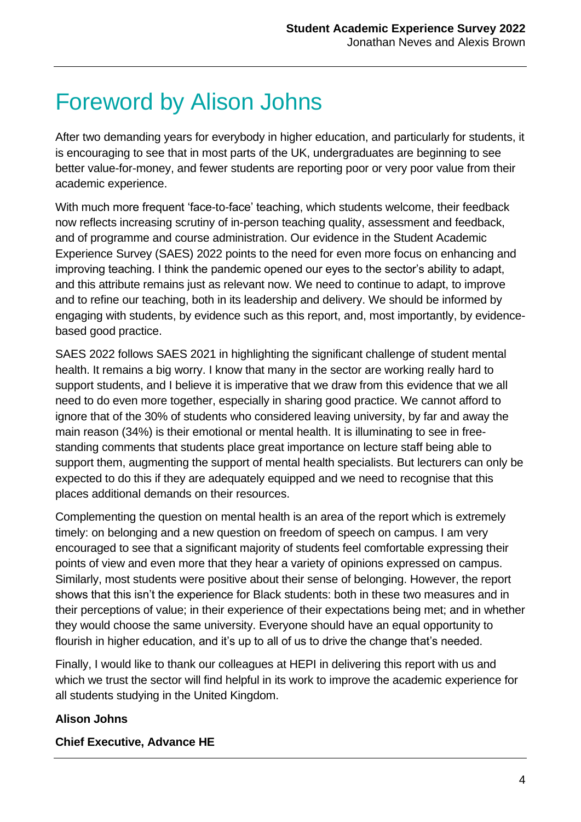## Foreword by Alison Johns

After two demanding years for everybody in higher education, and particularly for students, it is encouraging to see that in most parts of the UK, undergraduates are beginning to see better value-for-money, and fewer students are reporting poor or very poor value from their academic experience.

With much more frequent 'face-to-face' teaching, which students welcome, their feedback now reflects increasing scrutiny of in-person teaching quality, assessment and feedback, and of programme and course administration. Our evidence in the Student Academic Experience Survey (SAES) 2022 points to the need for even more focus on enhancing and improving teaching. I think the pandemic opened our eyes to the sector's ability to adapt, and this attribute remains just as relevant now. We need to continue to adapt, to improve and to refine our teaching, both in its leadership and delivery. We should be informed by engaging with students, by evidence such as this report, and, most importantly, by evidencebased good practice.

SAES 2022 follows SAES 2021 in highlighting the significant challenge of student mental health. It remains a big worry. I know that many in the sector are working really hard to support students, and I believe it is imperative that we draw from this evidence that we all need to do even more together, especially in sharing good practice. We cannot afford to ignore that of the 30% of students who considered leaving university, by far and away the main reason (34%) is their emotional or mental health. It is illuminating to see in freestanding comments that students place great importance on lecture staff being able to support them, augmenting the support of mental health specialists. But lecturers can only be expected to do this if they are adequately equipped and we need to recognise that this places additional demands on their resources.

Complementing the question on mental health is an area of the report which is extremely timely: on belonging and a new question on freedom of speech on campus. I am very encouraged to see that a significant majority of students feel comfortable expressing their points of view and even more that they hear a variety of opinions expressed on campus. Similarly, most students were positive about their sense of belonging. However, the report shows that this isn't the experience for Black students: both in these two measures and in their perceptions of value; in their experience of their expectations being met; and in whether they would choose the same university. Everyone should have an equal opportunity to flourish in higher education, and it's up to all of us to drive the change that's needed.

Finally, I would like to thank our colleagues at HEPI in delivering this report with us and which we trust the sector will find helpful in its work to improve the academic experience for all students studying in the United Kingdom.

#### **Alison Johns**

#### **Chief Executive, Advance HE**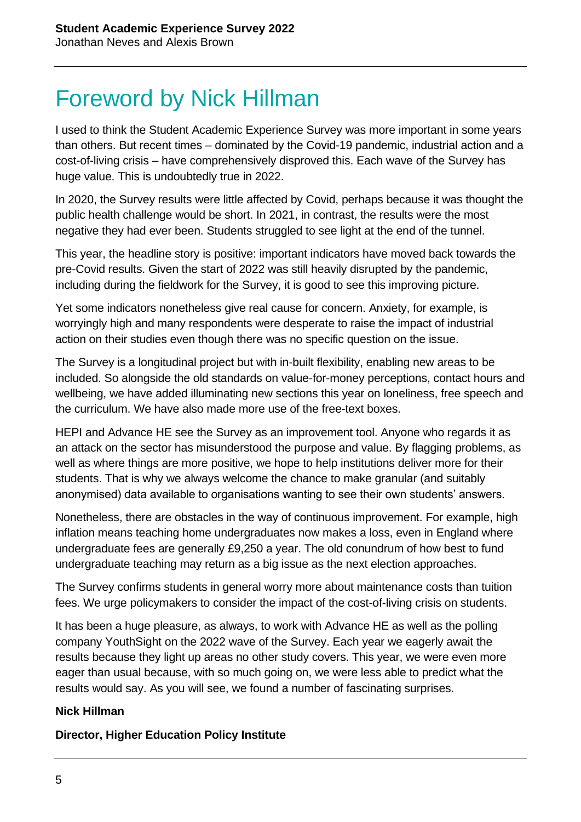## Foreword by Nick Hillman

I used to think the Student Academic Experience Survey was more important in some years than others. But recent times – dominated by the Covid-19 pandemic, industrial action and a cost-of-living crisis – have comprehensively disproved this. Each wave of the Survey has huge value. This is undoubtedly true in 2022.

In 2020, the Survey results were little affected by Covid, perhaps because it was thought the public health challenge would be short. In 2021, in contrast, the results were the most negative they had ever been. Students struggled to see light at the end of the tunnel.

This year, the headline story is positive: important indicators have moved back towards the pre-Covid results. Given the start of 2022 was still heavily disrupted by the pandemic, including during the fieldwork for the Survey, it is good to see this improving picture.

Yet some indicators nonetheless give real cause for concern. Anxiety, for example, is worryingly high and many respondents were desperate to raise the impact of industrial action on their studies even though there was no specific question on the issue.

The Survey is a longitudinal project but with in-built flexibility, enabling new areas to be included. So alongside the old standards on value-for-money perceptions, contact hours and wellbeing, we have added illuminating new sections this year on loneliness, free speech and the curriculum. We have also made more use of the free-text boxes.

HEPI and Advance HE see the Survey as an improvement tool. Anyone who regards it as an attack on the sector has misunderstood the purpose and value. By flagging problems, as well as where things are more positive, we hope to help institutions deliver more for their students. That is why we always welcome the chance to make granular (and suitably anonymised) data available to organisations wanting to see their own students' answers.

Nonetheless, there are obstacles in the way of continuous improvement. For example, high inflation means teaching home undergraduates now makes a loss, even in England where undergraduate fees are generally £9,250 a year. The old conundrum of how best to fund undergraduate teaching may return as a big issue as the next election approaches.

The Survey confirms students in general worry more about maintenance costs than tuition fees. We urge policymakers to consider the impact of the cost-of-living crisis on students.

It has been a huge pleasure, as always, to work with Advance HE as well as the polling company YouthSight on the 2022 wave of the Survey. Each year we eagerly await the results because they light up areas no other study covers. This year, we were even more eager than usual because, with so much going on, we were less able to predict what the results would say. As you will see, we found a number of fascinating surprises.

#### **Nick Hillman**

#### **Director, Higher Education Policy Institute**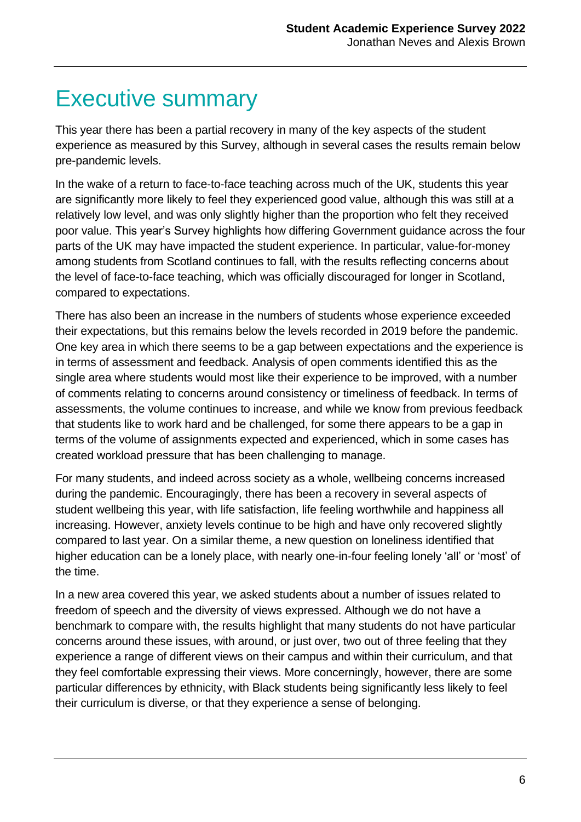### Executive summary

This year there has been a partial recovery in many of the key aspects of the student experience as measured by this Survey, although in several cases the results remain below pre-pandemic levels.

In the wake of a return to face-to-face teaching across much of the UK, students this year are significantly more likely to feel they experienced good value, although this was still at a relatively low level, and was only slightly higher than the proportion who felt they received poor value. This year's Survey highlights how differing Government guidance across the four parts of the UK may have impacted the student experience. In particular, value-for-money among students from Scotland continues to fall, with the results reflecting concerns about the level of face-to-face teaching, which was officially discouraged for longer in Scotland, compared to expectations.

There has also been an increase in the numbers of students whose experience exceeded their expectations, but this remains below the levels recorded in 2019 before the pandemic. One key area in which there seems to be a gap between expectations and the experience is in terms of assessment and feedback. Analysis of open comments identified this as the single area where students would most like their experience to be improved, with a number of comments relating to concerns around consistency or timeliness of feedback. In terms of assessments, the volume continues to increase, and while we know from previous feedback that students like to work hard and be challenged, for some there appears to be a gap in terms of the volume of assignments expected and experienced, which in some cases has created workload pressure that has been challenging to manage.

For many students, and indeed across society as a whole, wellbeing concerns increased during the pandemic. Encouragingly, there has been a recovery in several aspects of student wellbeing this year, with life satisfaction, life feeling worthwhile and happiness all increasing. However, anxiety levels continue to be high and have only recovered slightly compared to last year. On a similar theme, a new question on loneliness identified that higher education can be a lonely place, with nearly one-in-four feeling lonely 'all' or 'most' of the time.

In a new area covered this year, we asked students about a number of issues related to freedom of speech and the diversity of views expressed. Although we do not have a benchmark to compare with, the results highlight that many students do not have particular concerns around these issues, with around, or just over, two out of three feeling that they experience a range of different views on their campus and within their curriculum, and that they feel comfortable expressing their views. More concerningly, however, there are some particular differences by ethnicity, with Black students being significantly less likely to feel their curriculum is diverse, or that they experience a sense of belonging.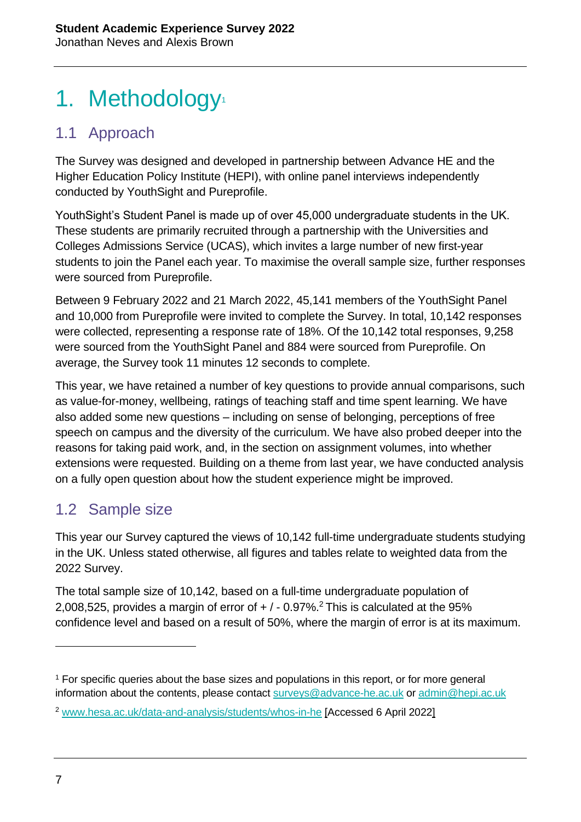## 1. Methodology<sup>1</sup>

### 1.1 Approach

The Survey was designed and developed in partnership between Advance HE and the Higher Education Policy Institute (HEPI), with online panel interviews independently conducted by YouthSight and Pureprofile.

YouthSight's Student Panel is made up of over 45,000 undergraduate students in the UK. These students are primarily recruited through a partnership with the Universities and Colleges Admissions Service (UCAS), which invites a large number of new first-year students to join the Panel each year. To maximise the overall sample size, further responses were sourced from Pureprofile.

Between 9 February 2022 and 21 March 2022, 45,141 members of the YouthSight Panel and 10,000 from Pureprofile were invited to complete the Survey. In total, 10,142 responses were collected, representing a response rate of 18%. Of the 10,142 total responses, 9,258 were sourced from the YouthSight Panel and 884 were sourced from Pureprofile. On average, the Survey took 11 minutes 12 seconds to complete.

This year, we have retained a number of key questions to provide annual comparisons, such as value-for-money, wellbeing, ratings of teaching staff and time spent learning. We have also added some new questions – including on sense of belonging, perceptions of free speech on campus and the diversity of the curriculum. We have also probed deeper into the reasons for taking paid work, and, in the section on assignment volumes, into whether extensions were requested. Building on a theme from last year, we have conducted analysis on a fully open question about how the student experience might be improved.

### 1.2 Sample size

This year our Survey captured the views of 10,142 full-time undergraduate students studying in the UK. Unless stated otherwise, all figures and tables relate to weighted data from the 2022 Survey.

The total sample size of 10,142, based on a full-time undergraduate population of 2,008,525, provides a margin of error of  $+/-0.97\%$ <sup>2</sup> This is calculated at the 95% confidence level and based on a result of 50%, where the margin of error is at its maximum.

<sup>1</sup> For specific queries about the base sizes and populations in this report, or for more general information about the contents, please contact [surveys@advance-he.ac.uk](mailto:surveys@advance-he.ac.uk) or [admin@hepi.ac.uk](mailto:admin@hepi.ac.uk)

<sup>2</sup> [www.hesa.ac.uk/data-and-analysis/students/whos-in-he](http://www.hesa.ac.uk/data-and-analysis/students/whos-in-he) [Accessed 6 April 2022]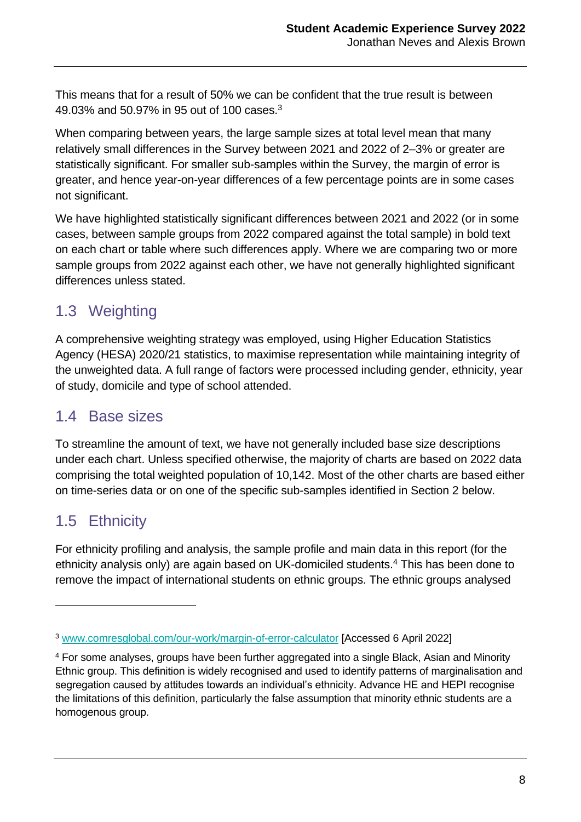This means that for a result of 50% we can be confident that the true result is between 49.03% and 50.97% in 95 out of 100 cases.<sup>3</sup>

When comparing between years, the large sample sizes at total level mean that many relatively small differences in the Survey between 2021 and 2022 of 2–3% or greater are statistically significant. For smaller sub-samples within the Survey, the margin of error is greater, and hence year-on-year differences of a few percentage points are in some cases not significant.

We have highlighted statistically significant differences between 2021 and 2022 (or in some cases, between sample groups from 2022 compared against the total sample) in bold text on each chart or table where such differences apply. Where we are comparing two or more sample groups from 2022 against each other, we have not generally highlighted significant differences unless stated.

### 1.3 Weighting

A comprehensive weighting strategy was employed, using Higher Education Statistics Agency (HESA) 2020/21 statistics, to maximise representation while maintaining integrity of the unweighted data. A full range of factors were processed including gender, ethnicity, year of study, domicile and type of school attended.

### 1.4 Base sizes

To streamline the amount of text, we have not generally included base size descriptions under each chart. Unless specified otherwise, the majority of charts are based on 2022 data comprising the total weighted population of 10,142. Most of the other charts are based either on time-series data or on one of the specific sub-samples identified in Section 2 below.

### 1.5 Ethnicity

For ethnicity profiling and analysis, the sample profile and main data in this report (for the ethnicity analysis only) are again based on UK-domiciled students.<sup>4</sup> This has been done to remove the impact of international students on ethnic groups. The ethnic groups analysed

<sup>3</sup> [www.comresglobal.com/our-work/margin-of-error-calculator](http://www.comresglobal.com/our-work/margin-of-error-calculator) [Accessed 6 April 2022]

<sup>4</sup> For some analyses, groups have been further aggregated into a single Black, Asian and Minority Ethnic group. This definition is widely recognised and used to identify patterns of marginalisation and segregation caused by attitudes towards an individual's ethnicity. Advance HE and HEPI recognise the limitations of this definition, particularly the false assumption that minority ethnic students are a homogenous group.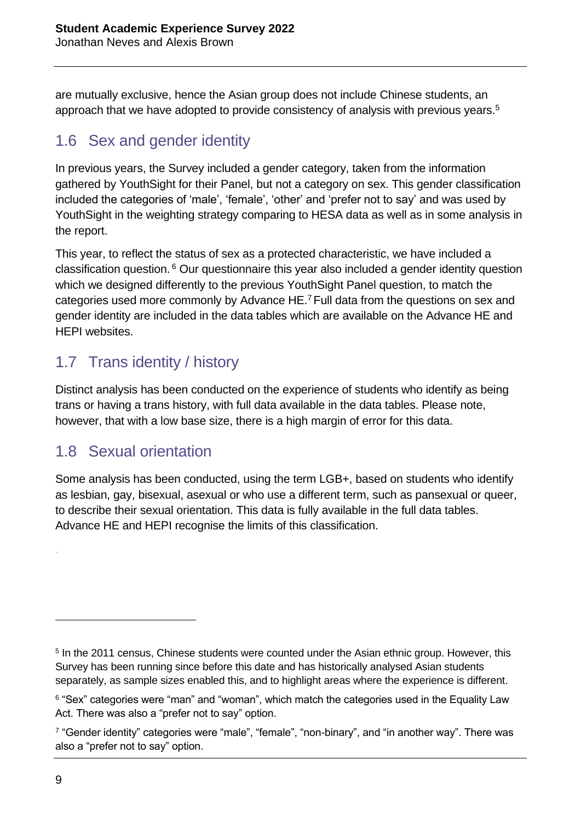are mutually exclusive, hence the Asian group does not include Chinese students, an approach that we have adopted to provide consistency of analysis with previous years.<sup>5</sup>

### 1.6 Sex and gender identity

In previous years, the Survey included a gender category, taken from the information gathered by YouthSight for their Panel, but not a category on sex. This gender classification included the categories of 'male', 'female', 'other' and 'prefer not to say' and was used by YouthSight in the weighting strategy comparing to HESA data as well as in some analysis in the report.

This year, to reflect the status of sex as a protected characteristic, we have included a classification question. <sup>6</sup> Our questionnaire this year also included a gender identity question which we designed differently to the previous YouthSight Panel question, to match the categories used more commonly by Advance HE.<sup>7</sup> Full data from the questions on sex and gender identity are included in the data tables which are available on the Advance HE and HEPI websites.

### 1.7 Trans identity / history

Distinct analysis has been conducted on the experience of students who identify as being trans or having a trans history, with full data available in the data tables. Please note, however, that with a low base size, there is a high margin of error for this data.

#### 1.8 Sexual orientation

Some analysis has been conducted, using the term LGB+, based on students who identify as lesbian, gay, bisexual, asexual or who use a different term, such as pansexual or queer, to describe their sexual orientation. This data is fully available in the full data tables. Advance HE and HEPI recognise the limits of this classification.

.

<sup>&</sup>lt;sup>5</sup> In the 2011 census, Chinese students were counted under the Asian ethnic group. However, this Survey has been running since before this date and has historically analysed Asian students separately, as sample sizes enabled this, and to highlight areas where the experience is different.

<sup>&</sup>lt;sup>6</sup> "Sex" categories were "man" and "woman", which match the categories used in the Equality Law Act. There was also a "prefer not to say" option.

<sup>&</sup>lt;sup>7</sup> "Gender identity" categories were "male", "female", "non-binary", and "in another way". There was also a "prefer not to say" option.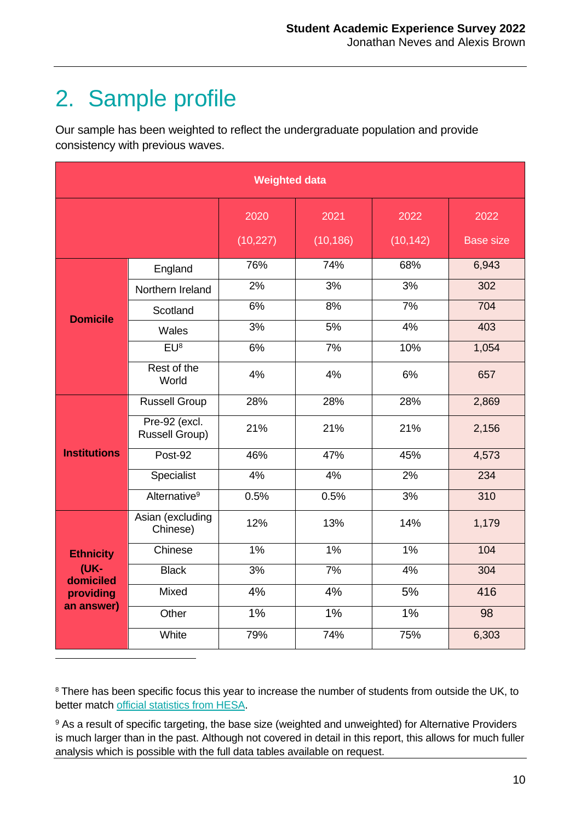## 2. Sample profile

 $\overline{a}$ 

Our sample has been weighted to reflect the undergraduate population and provide consistency with previous waves.

| <b>Weighted data</b> |                                        |                   |                   |                   |                          |
|----------------------|----------------------------------------|-------------------|-------------------|-------------------|--------------------------|
|                      |                                        | 2020<br>(10, 227) | 2021<br>(10, 186) | 2022<br>(10, 142) | 2022<br><b>Base size</b> |
|                      | England                                | 76%               | 74%               | 68%               | 6,943                    |
|                      | Northern Ireland                       | 2%                | 3%                | 3%                | 302                      |
| <b>Domicile</b>      | Scotland                               | 6%                | 8%                | 7%                | 704                      |
|                      | Wales                                  | 3%                | 5%                | 4%                | 403                      |
|                      | EU <sup>8</sup>                        | 6%                | 7%                | 10%               | 1,054                    |
|                      | Rest of the<br>World                   | 4%                | 4%                | 6%                | 657                      |
|                      | <b>Russell Group</b>                   | 28%               | 28%               | 28%               | 2,869                    |
|                      | Pre-92 (excl.<br><b>Russell Group)</b> | 21%               | 21%               | 21%               | 2,156                    |
| <b>Institutions</b>  | Post-92                                | 46%               | 47%               | 45%               | 4,573                    |
|                      | Specialist                             | 4%                | 4%                | 2%                | 234                      |
|                      | Alternative <sup>9</sup>               | 0.5%              | 0.5%              | 3%                | 310                      |
|                      | Asian (excluding<br>Chinese)           | 12%               | 13%               | 14%               | 1,179                    |
| <b>Ethnicity</b>     | Chinese                                | 1%                | 1%                | 1%                | 104                      |
| (UK-<br>domiciled    | <b>Black</b>                           | 3%                | 7%                | 4%                | 304                      |
| providing            | Mixed                                  | 4%                | 4%                | 5%                | 416                      |
| an answer)           | Other                                  | 1%                | 1%                | 1%                | 98                       |
|                      | White                                  | 79%               | 74%               | 75%               | 6,303                    |

<sup>8</sup> There has been specific focus this year to increase the number of students from outside the UK, to better match [official statistics from HESA.](http://www.hesa.ac.uk/data-and-analysis/students/where-from)

<sup>9</sup> As a result of specific targeting, the base size (weighted and unweighted) for Alternative Providers is much larger than in the past. Although not covered in detail in this report, this allows for much fuller analysis which is possible with the full data tables available on request.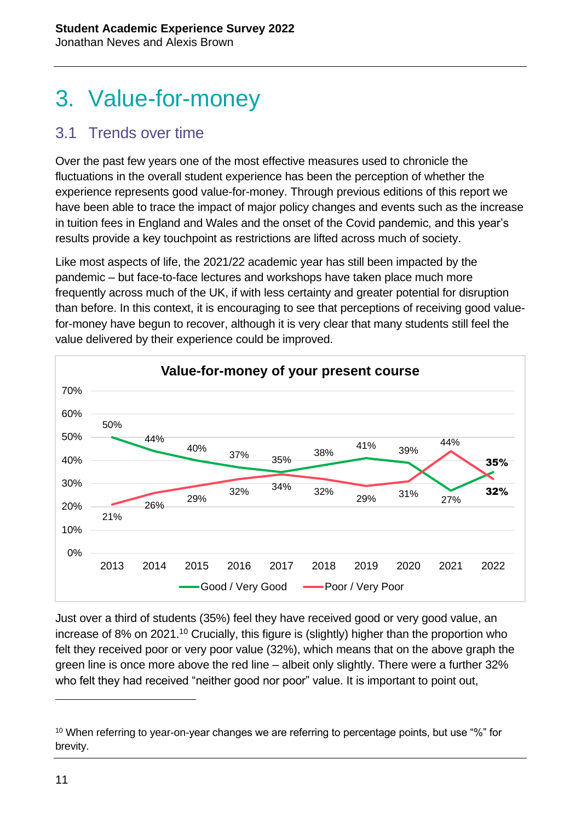## 3. Value-for-money

#### 3.1 Trends over time

Over the past few years one of the most effective measures used to chronicle the fluctuations in the overall student experience has been the perception of whether the experience represents good value-for-money. Through previous editions of this report we have been able to trace the impact of major policy changes and events such as the increase in tuition fees in England and Wales and the onset of the Covid pandemic, and this year's results provide a key touchpoint as restrictions are lifted across much of society.

Like most aspects of life, the 2021/22 academic year has still been impacted by the pandemic – but face-to-face lectures and workshops have taken place much more frequently across much of the UK, if with less certainty and greater potential for disruption than before. In this context, it is encouraging to see that perceptions of receiving good valuefor-money have begun to recover, although it is very clear that many students still feel the value delivered by their experience could be improved.



Just over a third of students (35%) feel they have received good or very good value, an increase of 8% on 2021.<sup>10</sup> Crucially, this figure is (slightly) higher than the proportion who felt they received poor or very poor value (32%), which means that on the above graph the green line is once more above the red line – albeit only slightly. There were a further 32% who felt they had received "neither good nor poor" value. It is important to point out,

<sup>&</sup>lt;sup>10</sup> When referring to year-on-year changes we are referring to percentage points, but use "%" for brevity.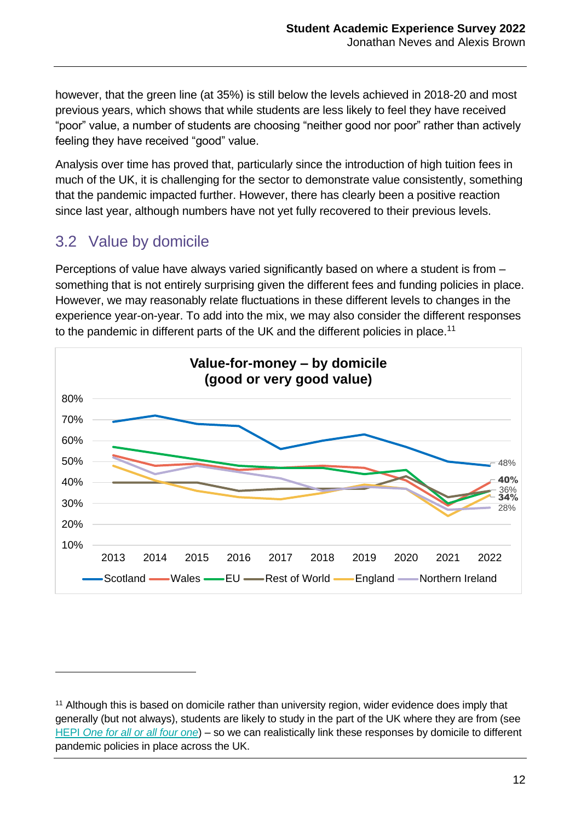however, that the green line (at 35%) is still below the levels achieved in 2018-20 and most previous years, which shows that while students are less likely to feel they have received "poor" value, a number of students are choosing "neither good nor poor" rather than actively feeling they have received "good" value.

Analysis over time has proved that, particularly since the introduction of high tuition fees in much of the UK, it is challenging for the sector to demonstrate value consistently, something that the pandemic impacted further. However, there has clearly been a positive reaction since last year, although numbers have not yet fully recovered to their previous levels.

### 3.2 Value by domicile

 $\overline{a}$ 

Perceptions of value have always varied significantly based on where a student is from – something that is not entirely surprising given the different fees and funding policies in place. However, we may reasonably relate fluctuations in these different levels to changes in the experience year-on-year. To add into the mix, we may also consider the different responses to the pandemic in different parts of the UK and the different policies in place.<sup>11</sup>



<sup>&</sup>lt;sup>11</sup> Although this is based on domicile rather than university region, wider evidence does imply that generally (but not always), students are likely to study in the part of the UK where they are from (see HEPI *[One for all or all four one](https://www.hepi.ac.uk/wp-content/uploads/2020/04/One-for-all-or-all-four-one-Does-the-UK-still-have-a-single-higher-education-sector.pdf)*) – so we can realistically link these responses by domicile to different pandemic policies in place across the UK.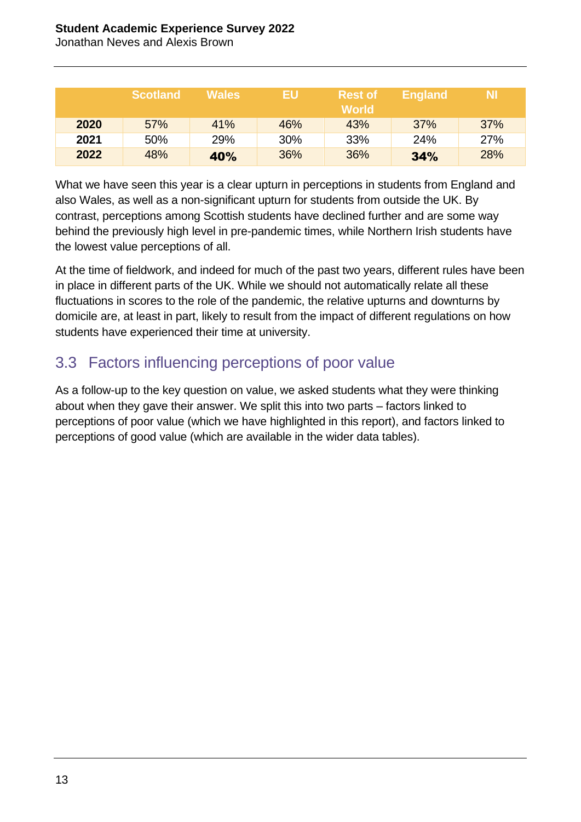#### **Student Academic Experience Survey 2022**

Jonathan Neves and Alexis Brown

|      | Scotland | <b>Wales</b> | <b>EU</b> | <b>Rest of</b><br><b>World</b> | <b>England</b> | NI. |
|------|----------|--------------|-----------|--------------------------------|----------------|-----|
| 2020 | 57%      | 41%          | 46%       | 43%                            | 37%            | 37% |
| 2021 | 50%      | 29%          | 30%       | 33%                            | 24%            | 27% |
| 2022 | 48%      | 40%          | 36%       | 36%                            | 34%            | 28% |

What we have seen this year is a clear upturn in perceptions in students from England and also Wales, as well as a non-significant upturn for students from outside the UK. By contrast, perceptions among Scottish students have declined further and are some way behind the previously high level in pre-pandemic times, while Northern Irish students have the lowest value perceptions of all.

At the time of fieldwork, and indeed for much of the past two years, different rules have been in place in different parts of the UK. While we should not automatically relate all these fluctuations in scores to the role of the pandemic, the relative upturns and downturns by domicile are, at least in part, likely to result from the impact of different regulations on how students have experienced their time at university.

#### 3.3 Factors influencing perceptions of poor value

As a follow-up to the key question on value, we asked students what they were thinking about when they gave their answer. We split this into two parts – factors linked to perceptions of poor value (which we have highlighted in this report), and factors linked to perceptions of good value (which are available in the wider data tables).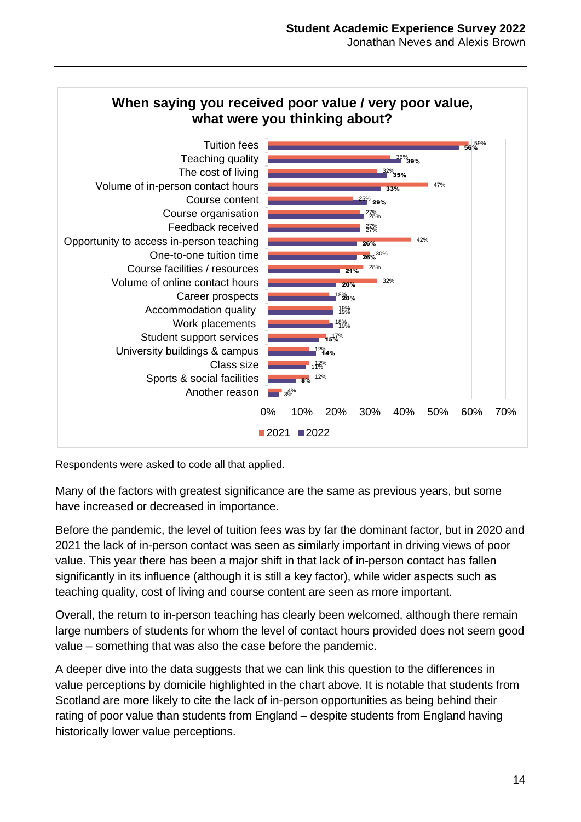

Respondents were asked to code all that applied.

Many of the factors with greatest significance are the same as previous years, but some have increased or decreased in importance.

Before the pandemic, the level of tuition fees was by far the dominant factor, but in 2020 and 2021 the lack of in-person contact was seen as similarly important in driving views of poor value. This year there has been a major shift in that lack of in-person contact has fallen significantly in its influence (although it is still a key factor), while wider aspects such as teaching quality, cost of living and course content are seen as more important.

Overall, the return to in-person teaching has clearly been welcomed, although there remain large numbers of students for whom the level of contact hours provided does not seem good value – something that was also the case before the pandemic.

A deeper dive into the data suggests that we can link this question to the differences in value perceptions by domicile highlighted in the chart above. It is notable that students from Scotland are more likely to cite the lack of in-person opportunities as being behind their rating of poor value than students from England – despite students from England having historically lower value perceptions.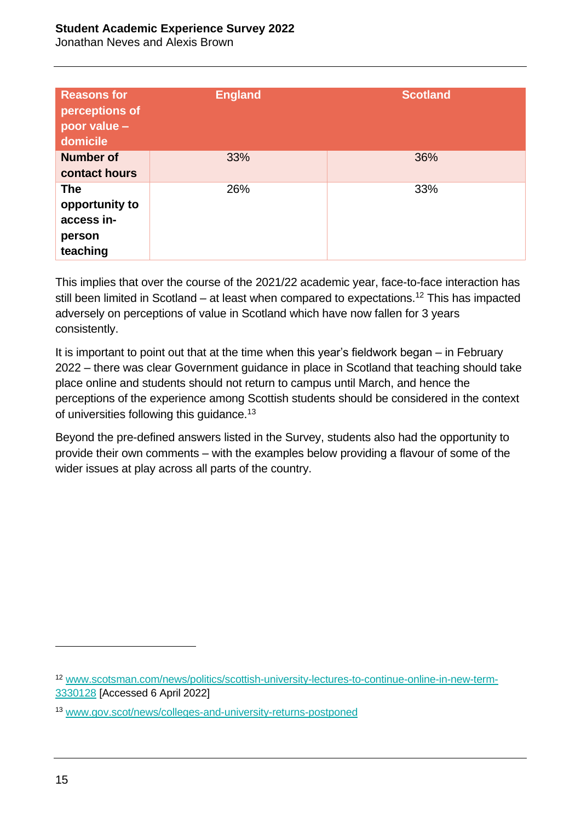#### **Student Academic Experience Survey 2022**

Jonathan Neves and Alexis Brown

| <b>Reasons for</b><br>perceptions of<br>poor value -<br>domicile | England | <b>Scotland</b> |
|------------------------------------------------------------------|---------|-----------------|
| <b>Number of</b><br>contact hours                                | 33%     | 36%             |
| <b>The</b><br>opportunity to<br>access in-<br>person<br>teaching | 26%     | 33%             |

This implies that over the course of the 2021/22 academic year, face-to-face interaction has still been limited in Scotland – at least when compared to expectations.<sup>12</sup> This has impacted adversely on perceptions of value in Scotland which have now fallen for 3 years consistently.

It is important to point out that at the time when this year's fieldwork began – in February 2022 – there was clear Government guidance in place in Scotland that teaching should take place online and students should not return to campus until March, and hence the perceptions of the experience among Scottish students should be considered in the context of universities following this guidance.<sup>13</sup>

Beyond the pre-defined answers listed in the Survey, students also had the opportunity to provide their own comments – with the examples below providing a flavour of some of the wider issues at play across all parts of the country.

<sup>12</sup> [www.scotsman.com/news/politics/scottish-university-lectures-to-continue-online-in-new-term-](http://www.scotsman.com/news/politics/scottish-university-lectures-to-continue-online-in-new-term-3330128)[3330128](http://www.scotsman.com/news/politics/scottish-university-lectures-to-continue-online-in-new-term-3330128) [Accessed 6 April 2022]

<sup>13</sup> [www.gov.scot/news/colleges-and-university-returns-postponed](https://www.gov.scot/news/colleges-and-university-returns-postponed/)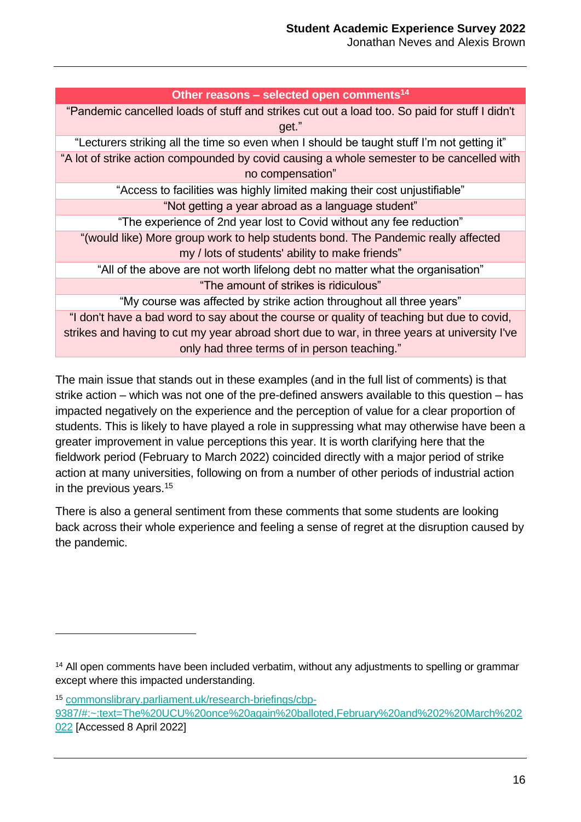| Other reasons - selected open comments <sup>14</sup>                                          |
|-----------------------------------------------------------------------------------------------|
| "Pandemic cancelled loads of stuff and strikes cut out a load too. So paid for stuff I didn't |
| get."                                                                                         |
| "Lecturers striking all the time so even when I should be taught stuff I'm not getting it"    |
| "A lot of strike action compounded by covid causing a whole semester to be cancelled with     |
| no compensation"                                                                              |
| "Access to facilities was highly limited making their cost unjustifiable"                     |
| "Not getting a year abroad as a language student"                                             |
| "The experience of 2nd year lost to Covid without any fee reduction"                          |
| "(would like) More group work to help students bond. The Pandemic really affected             |
| my / lots of students' ability to make friends"                                               |
| "All of the above are not worth lifelong debt no matter what the organisation"                |
| "The amount of strikes is ridiculous"                                                         |
| "My course was affected by strike action throughout all three years"                          |
| "I don't have a bad word to say about the course or quality of teaching but due to covid,     |
| strikes and having to cut my year abroad short due to war, in three years at university I've  |
| only had three terms of in person teaching."                                                  |

The main issue that stands out in these examples (and in the full list of comments) is that strike action – which was not one of the pre-defined answers available to this question – has impacted negatively on the experience and the perception of value for a clear proportion of students. This is likely to have played a role in suppressing what may otherwise have been a greater improvement in value perceptions this year. It is worth clarifying here that the fieldwork period (February to March 2022) coincided directly with a major period of strike action at many universities, following on from a number of other periods of industrial action in the previous years.<sup>15</sup>

There is also a general sentiment from these comments that some students are looking back across their whole experience and feeling a sense of regret at the disruption caused by the pandemic.

 $\overline{a}$ 

<sup>15</sup> [commonslibrary.parliament.uk/research-briefings/cbp-](https://commonslibrary.parliament.uk/research-briefings/cbp-9387/#:~:text=The%20UCU%20once%20again%20balloted,February%20and%202%20March%202022)[9387/#:~:text=The%20UCU%20once%20again%20balloted,February%20and%202%20March%202](https://commonslibrary.parliament.uk/research-briefings/cbp-9387/#:~:text=The%20UCU%20once%20again%20balloted,February%20and%202%20March%202022) [022](https://commonslibrary.parliament.uk/research-briefings/cbp-9387/#:~:text=The%20UCU%20once%20again%20balloted,February%20and%202%20March%202022) [Accessed 8 April 2022]

<sup>&</sup>lt;sup>14</sup> All open comments have been included verbatim, without any adjustments to spelling or grammar except where this impacted understanding.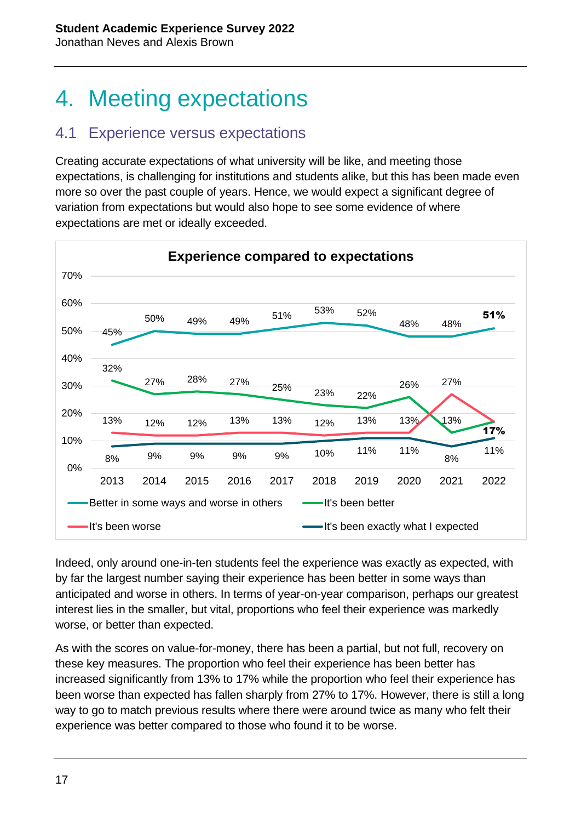## 4. Meeting expectations

#### 4.1 Experience versus expectations

Creating accurate expectations of what university will be like, and meeting those expectations, is challenging for institutions and students alike, but this has been made even more so over the past couple of years. Hence, we would expect a significant degree of variation from expectations but would also hope to see some evidence of where expectations are met or ideally exceeded.



Indeed, only around one-in-ten students feel the experience was exactly as expected, with by far the largest number saying their experience has been better in some ways than anticipated and worse in others. In terms of year-on-year comparison, perhaps our greatest interest lies in the smaller, but vital, proportions who feel their experience was markedly worse, or better than expected.

As with the scores on value-for-money, there has been a partial, but not full, recovery on these key measures. The proportion who feel their experience has been better has increased significantly from 13% to 17% while the proportion who feel their experience has been worse than expected has fallen sharply from 27% to 17%. However, there is still a long way to go to match previous results where there were around twice as many who felt their experience was better compared to those who found it to be worse.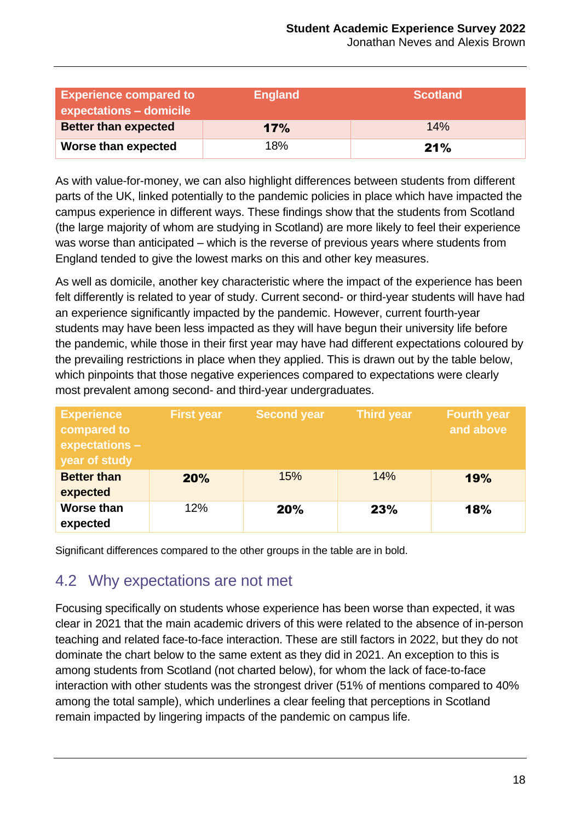Jonathan Neves and Alexis Brown

| <b>Experience compared to</b><br>expectations - domicile | <b>England</b> | <b>Scotland</b> |  |
|----------------------------------------------------------|----------------|-----------------|--|
| <b>Better than expected</b>                              | 17%            | 14%             |  |
| Worse than expected                                      | 18%            | 21%             |  |

As with value-for-money, we can also highlight differences between students from different parts of the UK, linked potentially to the pandemic policies in place which have impacted the campus experience in different ways. These findings show that the students from Scotland (the large majority of whom are studying in Scotland) are more likely to feel their experience was worse than anticipated – which is the reverse of previous years where students from England tended to give the lowest marks on this and other key measures.

As well as domicile, another key characteristic where the impact of the experience has been felt differently is related to year of study. Current second- or third-year students will have had an experience significantly impacted by the pandemic. However, current fourth-year students may have been less impacted as they will have begun their university life before the pandemic, while those in their first year may have had different expectations coloured by the prevailing restrictions in place when they applied. This is drawn out by the table below, which pinpoints that those negative experiences compared to expectations were clearly most prevalent among second- and third-year undergraduates.

| <b>Experience</b><br>compared to<br>expectations -<br>year of study | <b>First year</b> | <b>Second year</b> | <b>Third year</b> | <b>Fourth year</b><br>and above |
|---------------------------------------------------------------------|-------------------|--------------------|-------------------|---------------------------------|
| <b>Better than</b><br>expected                                      | 20%               | 15%                | 14%               | 19%                             |
| <b>Worse than</b><br>expected                                       | 12%               | <b>20%</b>         | 23%               | <b>18%</b>                      |

Significant differences compared to the other groups in the table are in bold.

#### 4.2 Why expectations are not met

Focusing specifically on students whose experience has been worse than expected, it was clear in 2021 that the main academic drivers of this were related to the absence of in-person teaching and related face-to-face interaction. These are still factors in 2022, but they do not dominate the chart below to the same extent as they did in 2021. An exception to this is among students from Scotland (not charted below), for whom the lack of face-to-face interaction with other students was the strongest driver (51% of mentions compared to 40% among the total sample), which underlines a clear feeling that perceptions in Scotland remain impacted by lingering impacts of the pandemic on campus life.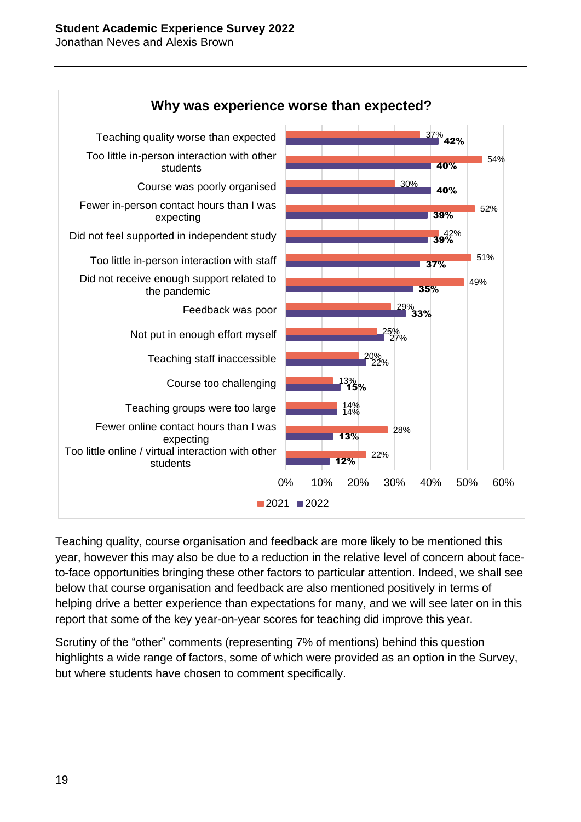

Teaching quality, course organisation and feedback are more likely to be mentioned this year, however this may also be due to a reduction in the relative level of concern about faceto-face opportunities bringing these other factors to particular attention. Indeed, we shall see below that course organisation and feedback are also mentioned positively in terms of helping drive a better experience than expectations for many, and we will see later on in this report that some of the key year-on-year scores for teaching did improve this year.

Scrutiny of the "other" comments (representing 7% of mentions) behind this question highlights a wide range of factors, some of which were provided as an option in the Survey, but where students have chosen to comment specifically.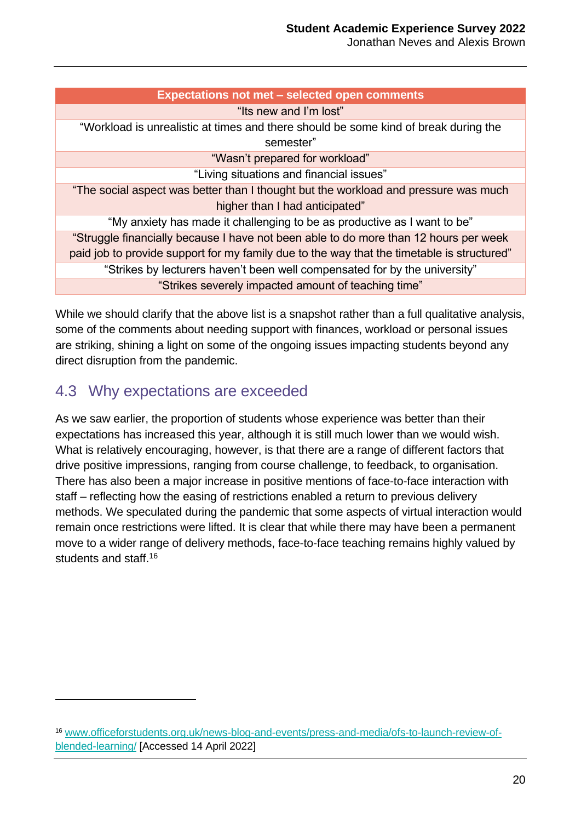Jonathan Neves and Alexis Brown

| <b>Expectations not met - selected open comments</b>                                       |
|--------------------------------------------------------------------------------------------|
| "Its new and I'm lost"                                                                     |
| "Workload is unrealistic at times and there should be some kind of break during the        |
| semester"                                                                                  |
| "Wasn't prepared for workload"                                                             |
| "Living situations and financial issues"                                                   |
| "The social aspect was better than I thought but the workload and pressure was much        |
| higher than I had anticipated"                                                             |
| "My anxiety has made it challenging to be as productive as I want to be"                   |
| "Struggle financially because I have not been able to do more than 12 hours per week       |
| paid job to provide support for my family due to the way that the timetable is structured" |
| "Strikes by lecturers haven't been well compensated for by the university"                 |
| "Strikes severely impacted amount of teaching time"                                        |

While we should clarify that the above list is a snapshot rather than a full qualitative analysis, some of the comments about needing support with finances, workload or personal issues are striking, shining a light on some of the ongoing issues impacting students beyond any direct disruption from the pandemic.

#### 4.3 Why expectations are exceeded

 $\overline{a}$ 

As we saw earlier, the proportion of students whose experience was better than their expectations has increased this year, although it is still much lower than we would wish. What is relatively encouraging, however, is that there are a range of different factors that drive positive impressions, ranging from course challenge, to feedback, to organisation. There has also been a major increase in positive mentions of face-to-face interaction with staff – reflecting how the easing of restrictions enabled a return to previous delivery methods. We speculated during the pandemic that some aspects of virtual interaction would remain once restrictions were lifted. It is clear that while there may have been a permanent move to a wider range of delivery methods, face-to-face teaching remains highly valued by students and staff. 16

<sup>16</sup> [www.officeforstudents.org.uk/news-blog-and-events/press-and-media/ofs-to-launch-review-of](https://www.officeforstudents.org.uk/news-blog-and-events/press-and-media/ofs-to-launch-review-of-blended-learning/)[blended-learning/](https://www.officeforstudents.org.uk/news-blog-and-events/press-and-media/ofs-to-launch-review-of-blended-learning/) [Accessed 14 April 2022]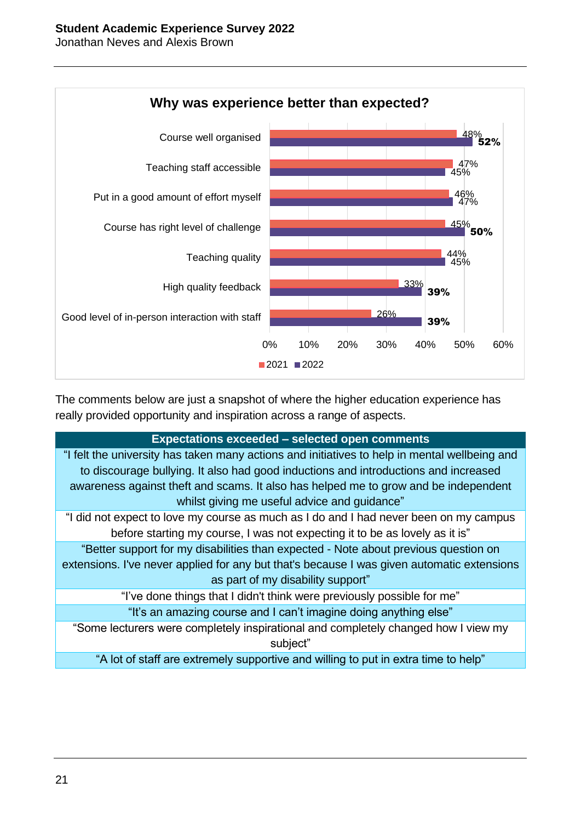



The comments below are just a snapshot of where the higher education experience has really provided opportunity and inspiration across a range of aspects.

#### **Expectations exceeded – selected open comments**

"I felt the university has taken many actions and initiatives to help in mental wellbeing and to discourage bullying. It also had good inductions and introductions and increased awareness against theft and scams. It also has helped me to grow and be independent whilst giving me useful advice and guidance"

"I did not expect to love my course as much as I do and I had never been on my campus before starting my course, I was not expecting it to be as lovely as it is"

"Better support for my disabilities than expected - Note about previous question on extensions. I've never applied for any but that's because I was given automatic extensions as part of my disability support"

"I've done things that I didn't think were previously possible for me"

"It's an amazing course and I can't imagine doing anything else"

"Some lecturers were completely inspirational and completely changed how I view my subject"

"A lot of staff are extremely supportive and willing to put in extra time to help"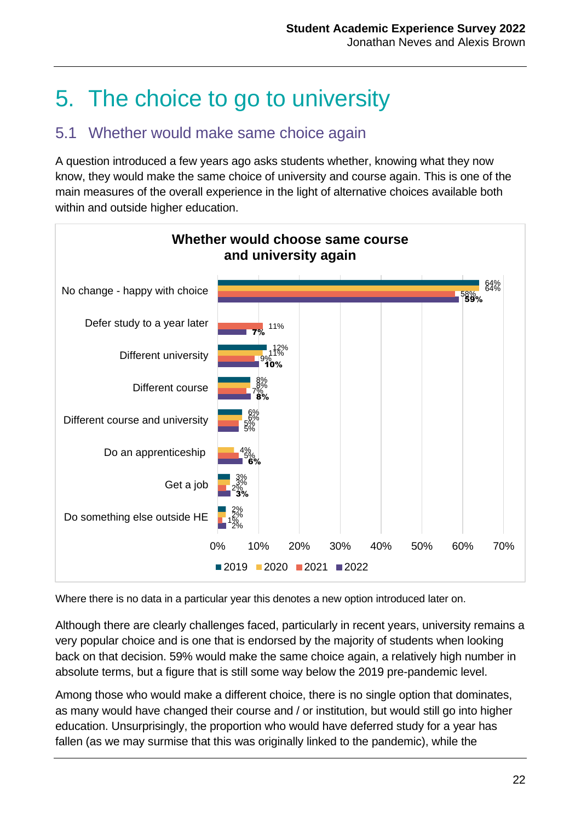## 5. The choice to go to university

#### 5.1 Whether would make same choice again

A question introduced a few years ago asks students whether, knowing what they now know, they would make the same choice of university and course again. This is one of the main measures of the overall experience in the light of alternative choices available both within and outside higher education.



Where there is no data in a particular year this denotes a new option introduced later on.

Although there are clearly challenges faced, particularly in recent years, university remains a very popular choice and is one that is endorsed by the majority of students when looking back on that decision. 59% would make the same choice again, a relatively high number in absolute terms, but a figure that is still some way below the 2019 pre-pandemic level.

Among those who would make a different choice, there is no single option that dominates, as many would have changed their course and / or institution, but would still go into higher education. Unsurprisingly, the proportion who would have deferred study for a year has fallen (as we may surmise that this was originally linked to the pandemic), while the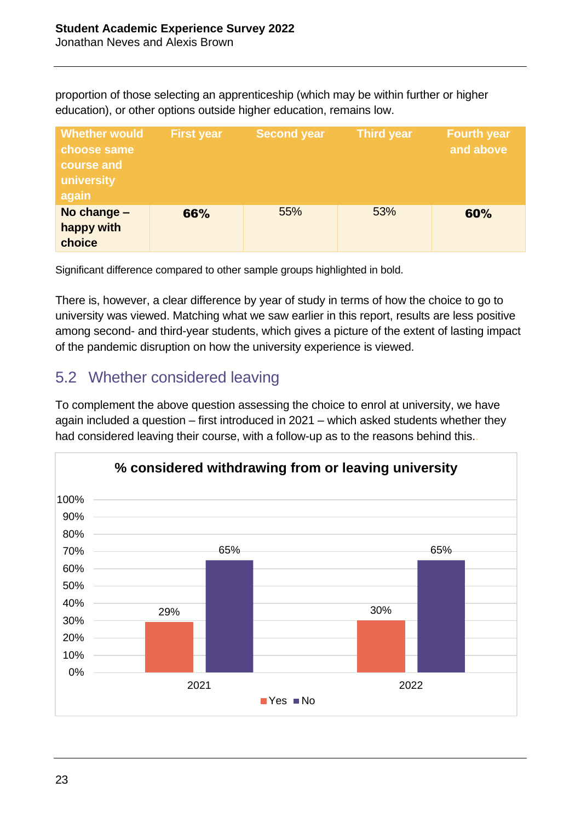proportion of those selecting an apprenticeship (which may be within further or higher education), or other options outside higher education, remains low.

| <b>Whether would</b><br>choose same<br>course and<br>university<br>again | <b>First year</b> | <b>Second year</b> | <b>Third year</b> | <b>Fourth year</b><br>and above |
|--------------------------------------------------------------------------|-------------------|--------------------|-------------------|---------------------------------|
| No change -<br>happy with<br>choice                                      | 66%               | 55%                | 53%               | 60%                             |

Significant difference compared to other sample groups highlighted in bold.

There is, however, a clear difference by year of study in terms of how the choice to go to university was viewed. Matching what we saw earlier in this report, results are less positive among second- and third-year students, which gives a picture of the extent of lasting impact of the pandemic disruption on how the university experience is viewed.

### 5.2 Whether considered leaving

To complement the above question assessing the choice to enrol at university, we have again included a question – first introduced in 2021 – which asked students whether they had considered leaving their course, with a follow-up as to the reasons behind this..

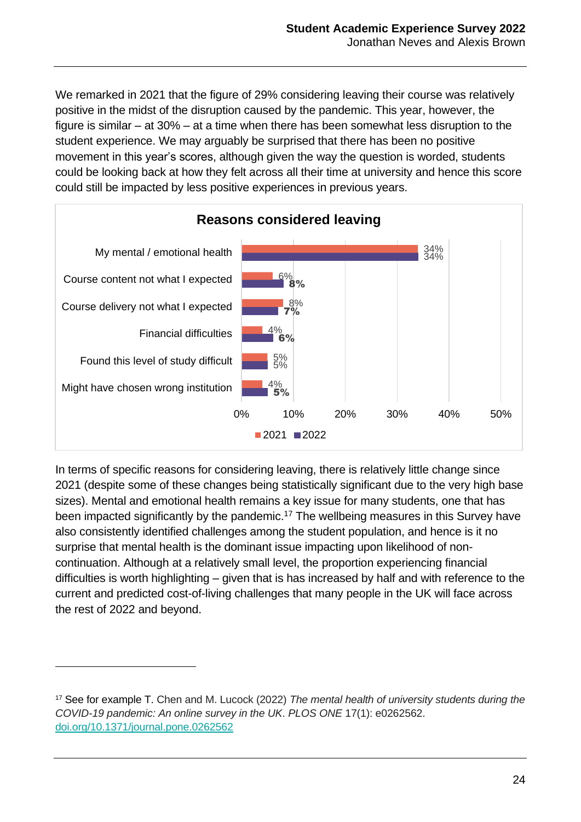We remarked in 2021 that the figure of 29% considering leaving their course was relatively positive in the midst of the disruption caused by the pandemic. This year, however, the figure is similar – at 30% – at a time when there has been somewhat less disruption to the student experience. We may arguably be surprised that there has been no positive movement in this year's scores, although given the way the question is worded, students could be looking back at how they felt across all their time at university and hence this score could still be impacted by less positive experiences in previous years.



In terms of specific reasons for considering leaving, there is relatively little change since 2021 (despite some of these changes being statistically significant due to the very high base sizes). Mental and emotional health remains a key issue for many students, one that has been impacted significantly by the pandemic. <sup>17</sup> The wellbeing measures in this Survey have also consistently identified challenges among the student population, and hence is it no surprise that mental health is the dominant issue impacting upon likelihood of noncontinuation. Although at a relatively small level, the proportion experiencing financial difficulties is worth highlighting – given that is has increased by half and with reference to the current and predicted cost-of-living challenges that many people in the UK will face across the rest of 2022 and beyond.

<sup>17</sup> See for example T. Chen and M. Lucock (2022) *The mental health of university students during the COVID-19 pandemic: An online survey in the UK*. *PLOS ONE* 17(1): e0262562. [doi.org/10.1371/journal.pone.0262562](https://doi.org/10.1371/journal.pone.0262562)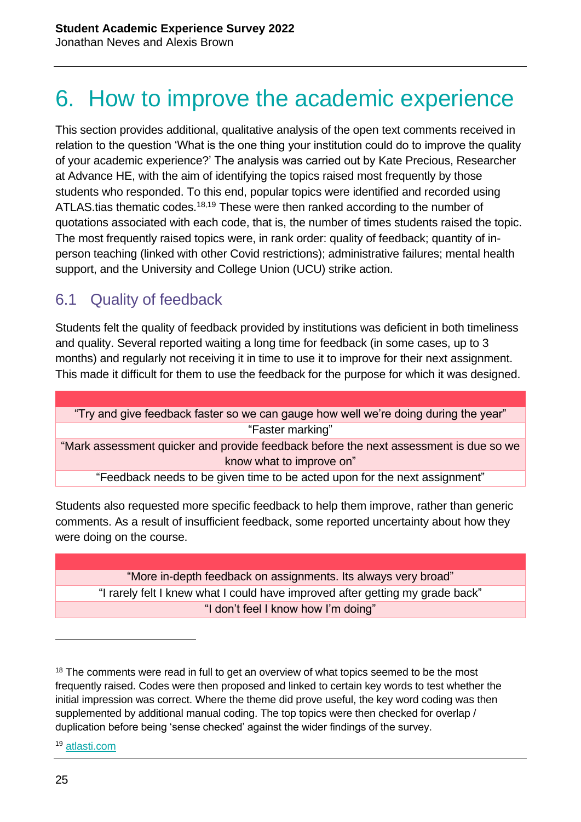## 6. How to improve the academic experience

This section provides additional, qualitative analysis of the open text comments received in relation to the question 'What is the one thing your institution could do to improve the quality of your academic experience?' The analysis was carried out by Kate Precious, Researcher at Advance HE, with the aim of identifying the topics raised most frequently by those students who responded. To this end, popular topics were identified and recorded using ATLAS.tias thematic codes.<sup>18,19</sup> These were then ranked according to the number of quotations associated with each code, that is, the number of times students raised the topic. The most frequently raised topics were, in rank order: quality of feedback; quantity of inperson teaching (linked with other Covid restrictions); administrative failures; mental health support, and the University and College Union (UCU) strike action.

#### 6.1 Quality of feedback

Students felt the quality of feedback provided by institutions was deficient in both timeliness and quality. Several reported waiting a long time for feedback (in some cases, up to 3 months) and regularly not receiving it in time to use it to improve for their next assignment. This made it difficult for them to use the feedback for the purpose for which it was designed.

| "Try and give feedback faster so we can gauge how well we're doing during the year"   |
|---------------------------------------------------------------------------------------|
| "Faster marking"                                                                      |
| "Mark assessment quicker and provide feedback before the next assessment is due so we |
| know what to improve on"                                                              |
| "Feedback needs to be given time to be acted upon for the next assignment"            |
|                                                                                       |

Students also requested more specific feedback to help them improve, rather than generic comments. As a result of insufficient feedback, some reported uncertainty about how they were doing on the course.

"More in-depth feedback on assignments. Its always very broad" "I rarely felt I knew what I could have improved after getting my grade back" "I don't feel I know how I'm doing"

<sup>19</sup> [atlasti.com](https://atlasti.com/)

<sup>&</sup>lt;sup>18</sup> The comments were read in full to get an overview of what topics seemed to be the most frequently raised. Codes were then proposed and linked to certain key words to test whether the initial impression was correct. Where the theme did prove useful, the key word coding was then supplemented by additional manual coding. The top topics were then checked for overlap / duplication before being 'sense checked' against the wider findings of the survey.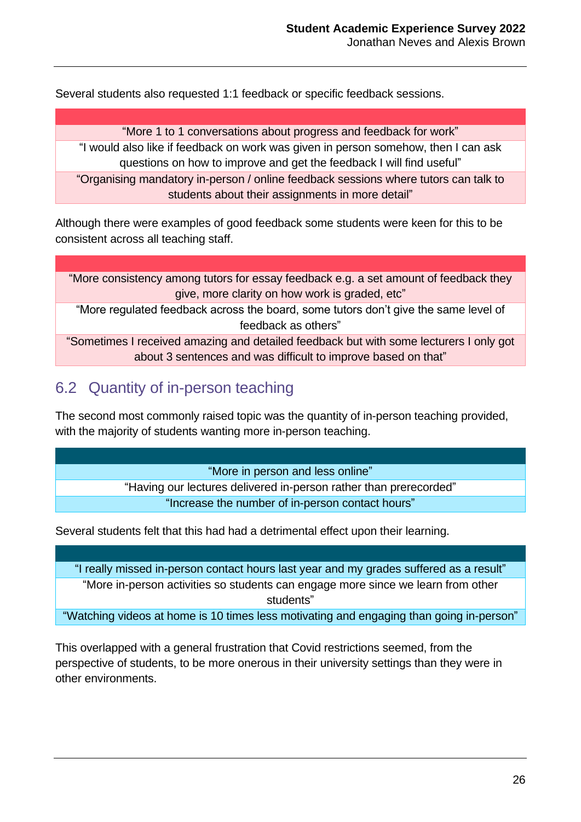Several students also requested 1:1 feedback or specific feedback sessions.

"More 1 to 1 conversations about progress and feedback for work"

"I would also like if feedback on work was given in person somehow, then I can ask questions on how to improve and get the feedback I will find useful"

"Organising mandatory in-person / online feedback sessions where tutors can talk to students about their assignments in more detail"

Although there were examples of good feedback some students were keen for this to be consistent across all teaching staff.

"More consistency among tutors for essay feedback e.g. a set amount of feedback they give, more clarity on how work is graded, etc"

"More regulated feedback across the board, some tutors don't give the same level of feedback as others"

"Sometimes I received amazing and detailed feedback but with some lecturers I only got about 3 sentences and was difficult to improve based on that"

#### 6.2 Quantity of in-person teaching

The second most commonly raised topic was the quantity of in-person teaching provided, with the majority of students wanting more in-person teaching.

"More in person and less online"

"Having our lectures delivered in-person rather than prerecorded" "Increase the number of in-person contact hours"

Several students felt that this had had a detrimental effect upon their learning.

"I really missed in-person contact hours last year and my grades suffered as a result" "More in-person activities so students can engage more since we learn from other students"

"Watching videos at home is 10 times less motivating and engaging than going in-person"

This overlapped with a general frustration that Covid restrictions seemed, from the perspective of students, to be more onerous in their university settings than they were in other environments.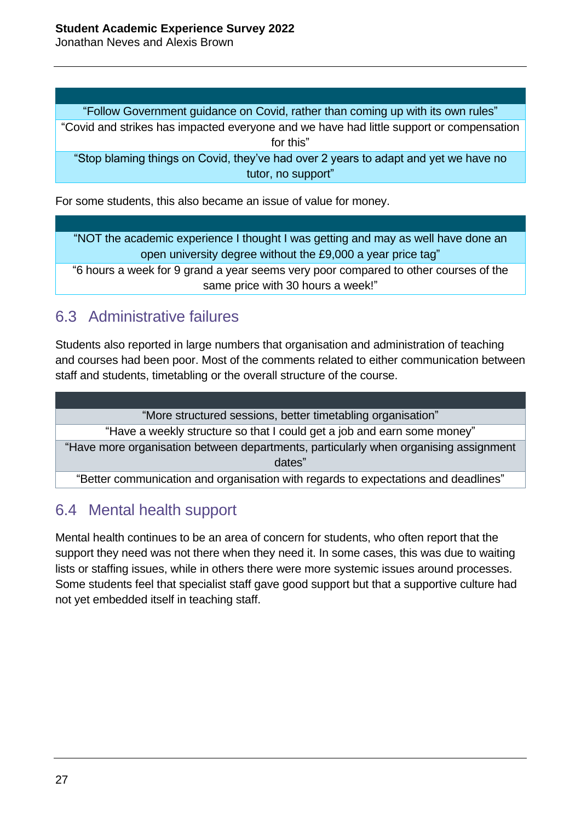Jonathan Neves and Alexis Brown

"Follow Government guidance on Covid, rather than coming up with its own rules"

"Covid and strikes has impacted everyone and we have had little support or compensation for this"

"Stop blaming things on Covid, they've had over 2 years to adapt and yet we have no tutor, no support"

For some students, this also became an issue of value for money.

"NOT the academic experience I thought I was getting and may as well have done an open university degree without the £9,000 a year price tag"

"6 hours a week for 9 grand a year seems very poor compared to other courses of the same price with 30 hours a week!"

#### 6.3 Administrative failures

Students also reported in large numbers that organisation and administration of teaching and courses had been poor. Most of the comments related to either communication between staff and students, timetabling or the overall structure of the course.

"More structured sessions, better timetabling organisation" "Have a weekly structure so that I could get a job and earn some money" "Have more organisation between departments, particularly when organising assignment dates"

"Better communication and organisation with regards to expectations and deadlines"

#### 6.4 Mental health support

Mental health continues to be an area of concern for students, who often report that the support they need was not there when they need it. In some cases, this was due to waiting lists or staffing issues, while in others there were more systemic issues around processes. Some students feel that specialist staff gave good support but that a supportive culture had not yet embedded itself in teaching staff.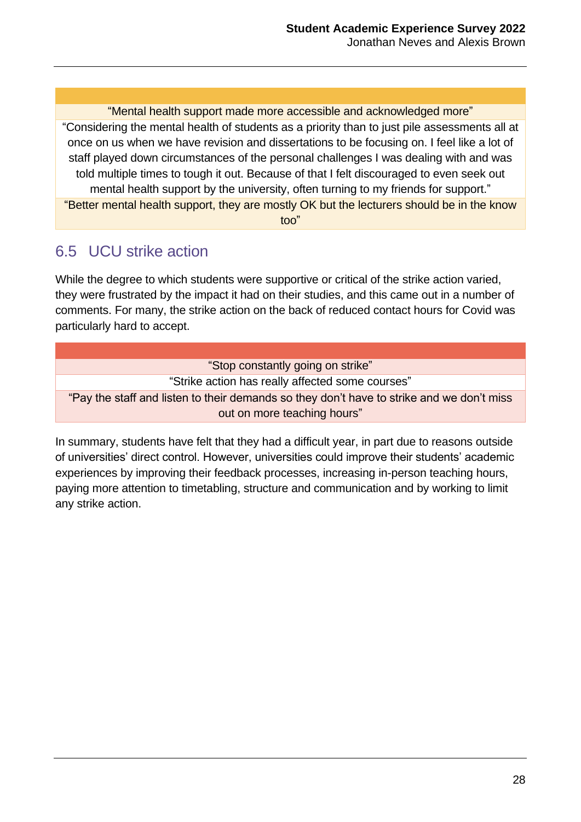"Mental health support made more accessible and acknowledged more" "Considering the mental health of students as a priority than to just pile assessments all at once on us when we have revision and dissertations to be focusing on. I feel like a lot of staff played down circumstances of the personal challenges I was dealing with and was told multiple times to tough it out. Because of that I felt discouraged to even seek out mental health support by the university, often turning to my friends for support." "Better mental health support, they are mostly OK but the lecturers should be in the know too"

### 6.5 UCU strike action

While the degree to which students were supportive or critical of the strike action varied, they were frustrated by the impact it had on their studies, and this came out in a number of comments. For many, the strike action on the back of reduced contact hours for Covid was particularly hard to accept.

| "Stop constantly going on strike"                                                         |
|-------------------------------------------------------------------------------------------|
| "Strike action has really affected some courses"                                          |
| "Pay the staff and listen to their demands so they don't have to strike and we don't miss |
| out on more teaching hours"                                                               |
|                                                                                           |

In summary, students have felt that they had a difficult year, in part due to reasons outside of universities' direct control. However, universities could improve their students' academic experiences by improving their feedback processes, increasing in-person teaching hours, paying more attention to timetabling, structure and communication and by working to limit any strike action.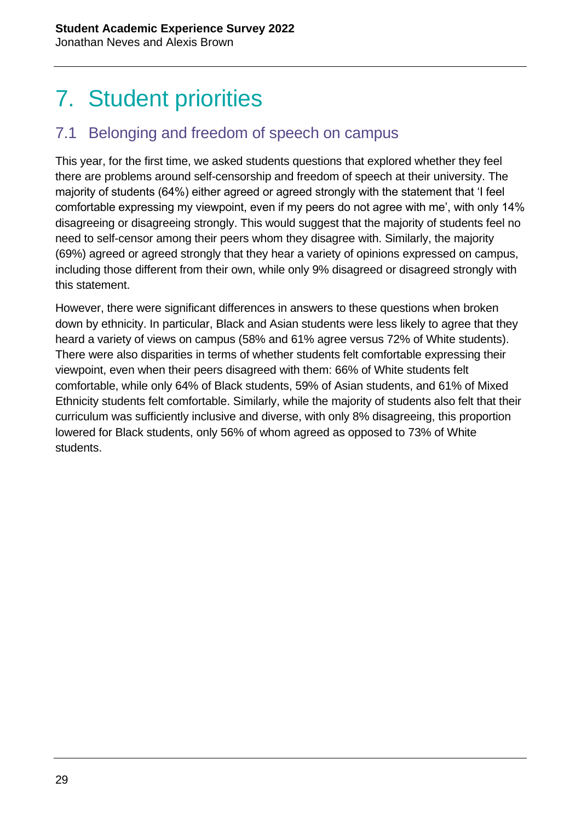## 7. Student priorities

#### 7.1 Belonging and freedom of speech on campus

This year, for the first time, we asked students questions that explored whether they feel there are problems around self-censorship and freedom of speech at their university. The majority of students (64%) either agreed or agreed strongly with the statement that 'I feel comfortable expressing my viewpoint, even if my peers do not agree with me', with only 14% disagreeing or disagreeing strongly. This would suggest that the majority of students feel no need to self-censor among their peers whom they disagree with. Similarly, the majority (69%) agreed or agreed strongly that they hear a variety of opinions expressed on campus, including those different from their own, while only 9% disagreed or disagreed strongly with this statement.

However, there were significant differences in answers to these questions when broken down by ethnicity. In particular, Black and Asian students were less likely to agree that they heard a variety of views on campus (58% and 61% agree versus 72% of White students). There were also disparities in terms of whether students felt comfortable expressing their viewpoint, even when their peers disagreed with them: 66% of White students felt comfortable, while only 64% of Black students, 59% of Asian students, and 61% of Mixed Ethnicity students felt comfortable. Similarly, while the majority of students also felt that their curriculum was sufficiently inclusive and diverse, with only 8% disagreeing, this proportion lowered for Black students, only 56% of whom agreed as opposed to 73% of White students.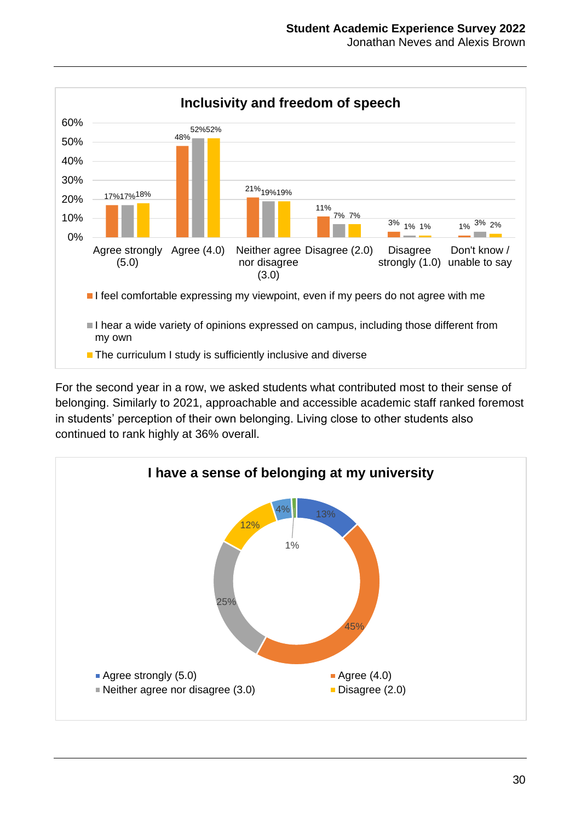

For the second year in a row, we asked students what contributed most to their sense of belonging. Similarly to 2021, approachable and accessible academic staff ranked foremost in students' perception of their own belonging. Living close to other students also continued to rank highly at 36% overall.

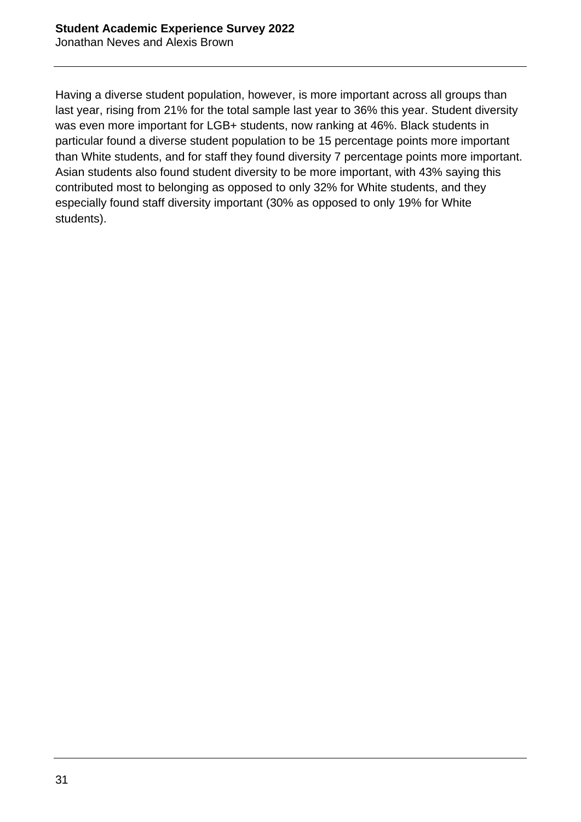Having a diverse student population, however, is more important across all groups than last year, rising from 21% for the total sample last year to 36% this year. Student diversity was even more important for LGB+ students, now ranking at 46%. Black students in particular found a diverse student population to be 15 percentage points more important than White students, and for staff they found diversity 7 percentage points more important. Asian students also found student diversity to be more important, with 43% saying this contributed most to belonging as opposed to only 32% for White students, and they especially found staff diversity important (30% as opposed to only 19% for White students).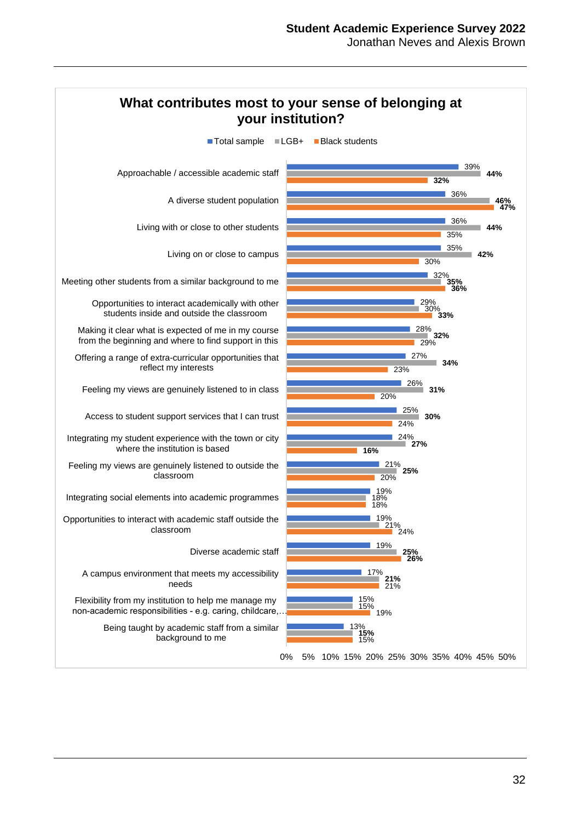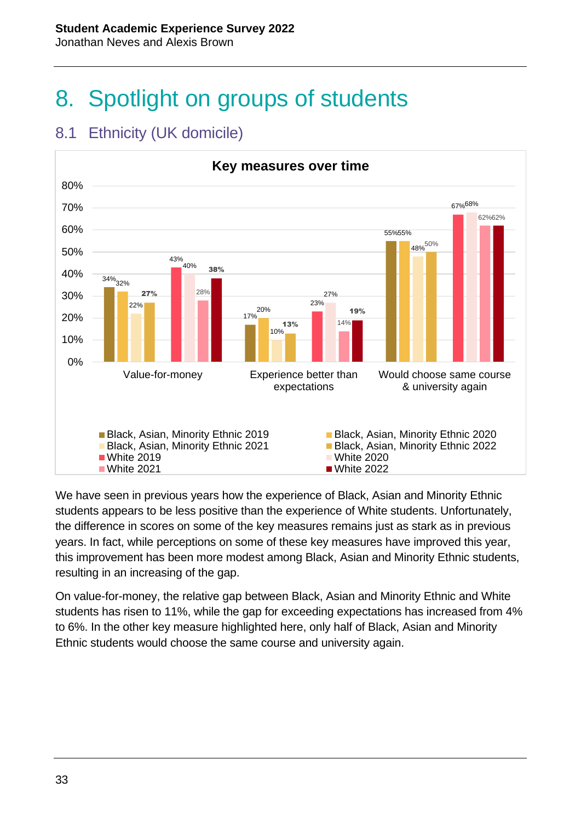8. Spotlight on groups of students



#### 8.1 Ethnicity (UK domicile)

We have seen in previous years how the experience of Black, Asian and Minority Ethnic students appears to be less positive than the experience of White students. Unfortunately, the difference in scores on some of the key measures remains just as stark as in previous years. In fact, while perceptions on some of these key measures have improved this year, this improvement has been more modest among Black, Asian and Minority Ethnic students, resulting in an increasing of the gap.

On value-for-money, the relative gap between Black, Asian and Minority Ethnic and White students has risen to 11%, while the gap for exceeding expectations has increased from 4% to 6%. In the other key measure highlighted here, only half of Black, Asian and Minority Ethnic students would choose the same course and university again.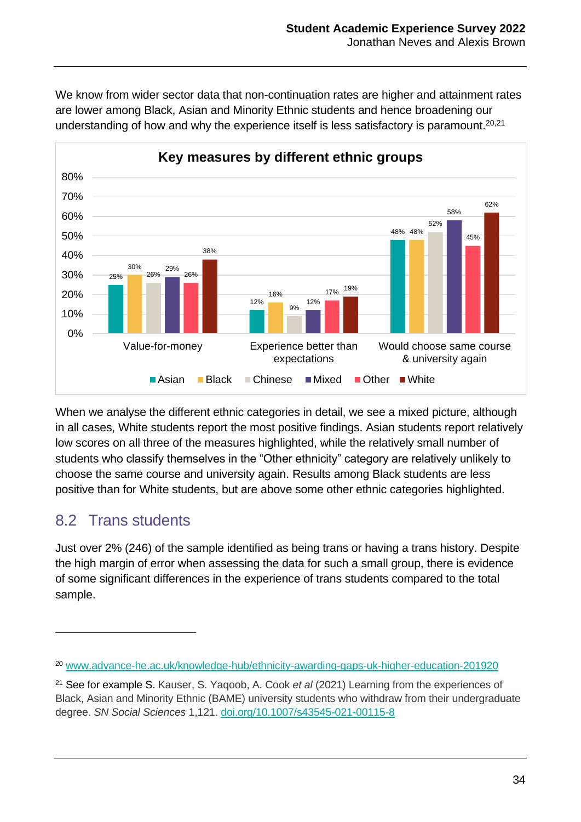

We know from wider sector data that non-continuation rates are higher and attainment rates are lower among Black, Asian and Minority Ethnic students and hence broadening our understanding of how and why the experience itself is less satisfactory is paramount.<sup>20,21</sup>

When we analyse the different ethnic categories in detail, we see a mixed picture, although in all cases, White students report the most positive findings. Asian students report relatively low scores on all three of the measures highlighted, while the relatively small number of students who classify themselves in the "Other ethnicity" category are relatively unlikely to choose the same course and university again. Results among Black students are less positive than for White students, but are above some other ethnic categories highlighted.

#### 8.2 Trans students

 $\overline{a}$ 

Just over 2% (246) of the sample identified as being trans or having a trans history. Despite the high margin of error when assessing the data for such a small group, there is evidence of some significant differences in the experience of trans students compared to the total sample.

<sup>20</sup> [www.advance-he.ac.uk/knowledge-hub/ethnicity-awarding-gaps-uk-higher-education-201920](http://www.advance-he.ac.uk/knowledge-hub/ethnicity-awarding-gaps-uk-higher-education-201920)

<sup>21</sup> See for example S. Kauser, S. Yaqoob, A. Cook *et al* (2021) Learning from the experiences of Black, Asian and Minority Ethnic (BAME) university students who withdraw from their undergraduate degree. *SN Social Sciences* 1,121. [doi.org/10.1007/s43545-021-00115-8](https://doi.org/10.1007/s43545-021-00115-8)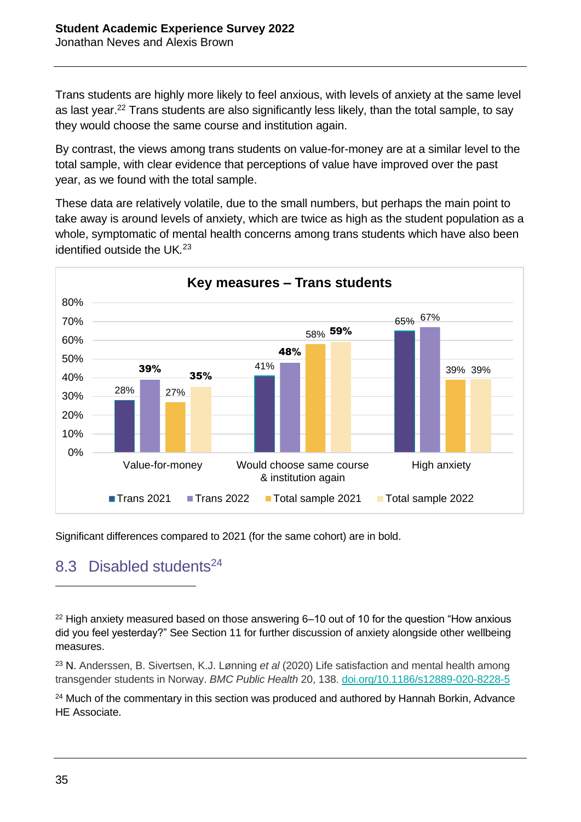Trans students are highly more likely to feel anxious, with levels of anxiety at the same level as last year.<sup>22</sup> Trans students are also significantly less likely, than the total sample, to say they would choose the same course and institution again.

By contrast, the views among trans students on value-for-money are at a similar level to the total sample, with clear evidence that perceptions of value have improved over the past year, as we found with the total sample.

These data are relatively volatile, due to the small numbers, but perhaps the main point to take away is around levels of anxiety, which are twice as high as the student population as a whole, symptomatic of mental health concerns among trans students which have also been identified outside the UK*.* 23



Significant differences compared to 2021 (for the same cohort) are in bold.

#### 8.3 Disabled students<sup>24</sup>

 $22$  High anxiety measured based on those answering 6–10 out of 10 for the question "How anxious did you feel yesterday?" See Section 11 for further discussion of anxiety alongside other wellbeing measures.

<sup>23</sup> N. Anderssen, B. Sivertsen, K.J. Lønning *et al* (2020) Life satisfaction and mental health among transgender students in Norway. *BMC Public Health* 20, 138. [doi.org/10.1186/s12889-020-8228-5](https://doi.org/10.1186/s12889-020-8228-5)

 $24$  Much of the commentary in this section was produced and authored by Hannah Borkin, Advance HE Associate.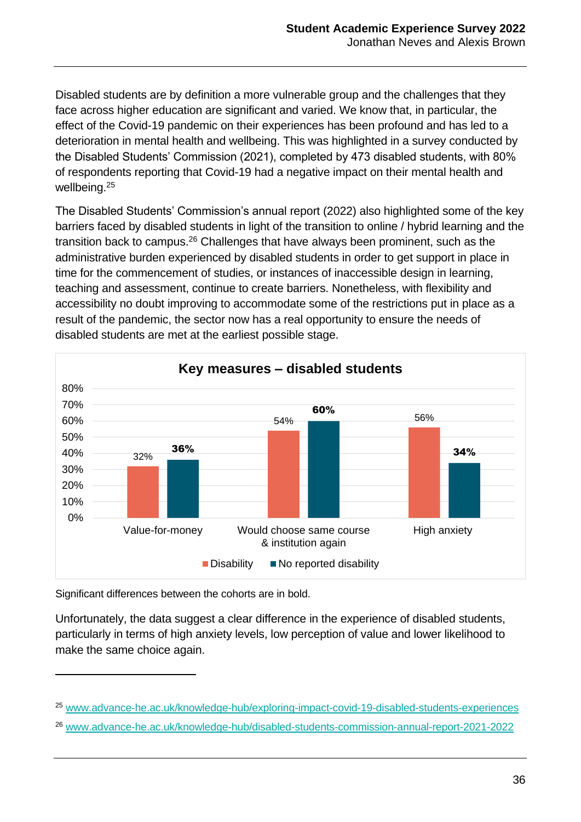Disabled students are by definition a more vulnerable group and the challenges that they face across higher education are significant and varied. We know that, in particular, the effect of the Covid-19 pandemic on their experiences has been profound and has led to a deterioration in mental health and wellbeing. This was highlighted in a survey conducted by the Disabled Students' Commission (2021), completed by 473 disabled students, with 80% of respondents reporting that Covid-19 had a negative impact on their mental health and wellbeing.<sup>25</sup>

The Disabled Students' Commission's annual report (2022) also highlighted some of the key barriers faced by disabled students in light of the transition to online / hybrid learning and the transition back to campus.<sup>26</sup> Challenges that have always been prominent, such as the administrative burden experienced by disabled students in order to get support in place in time for the commencement of studies, or instances of inaccessible design in learning, teaching and assessment, continue to create barriers. Nonetheless, with flexibility and accessibility no doubt improving to accommodate some of the restrictions put in place as a result of the pandemic, the sector now has a real opportunity to ensure the needs of disabled students are met at the earliest possible stage.



Significant differences between the cohorts are in bold.

 $\overline{a}$ 

Unfortunately, the data suggest a clear difference in the experience of disabled students, particularly in terms of high anxiety levels, low perception of value and lower likelihood to make the same choice again.

<sup>25</sup> [www.advance-he.ac.uk/knowledge-hub/exploring-impact-covid-19-disabled-students-experiences](http://www.advance-he.ac.uk/knowledge-hub/exploring-impact-covid-19-disabled-students-experiences)

<sup>26</sup> [www.advance-he.ac.uk/knowledge-hub/disabled-students-commission-annual-report-2021-2022](http://www.advance-he.ac.uk/knowledge-hub/disabled-students-commission-annual-report-2021-2022)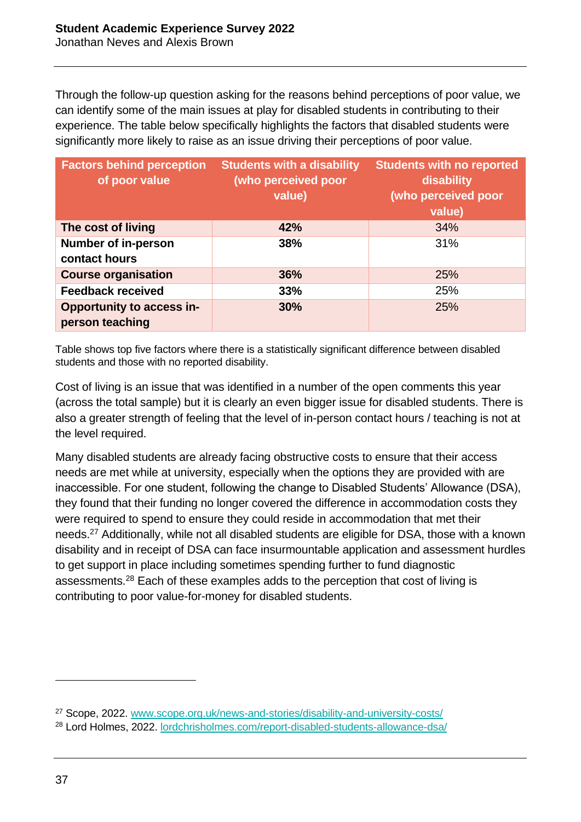Through the follow-up question asking for the reasons behind perceptions of poor value, we can identify some of the main issues at play for disabled students in contributing to their experience. The table below specifically highlights the factors that disabled students were significantly more likely to raise as an issue driving their perceptions of poor value.

| <b>Factors behind perception</b><br>of poor value   | <b>Students with a disability</b><br>(who perceived poor<br>value) | <b>Students with no reported</b><br>disability<br>(who perceived poor<br>value) |
|-----------------------------------------------------|--------------------------------------------------------------------|---------------------------------------------------------------------------------|
| The cost of living                                  | 42%                                                                | 34%                                                                             |
| <b>Number of in-person</b><br>contact hours         | 38%                                                                | 31%                                                                             |
| <b>Course organisation</b>                          | 36%                                                                | 25%                                                                             |
| <b>Feedback received</b>                            | 33%                                                                | 25%                                                                             |
| <b>Opportunity to access in-</b><br>person teaching | 30%                                                                | 25%                                                                             |

Table shows top five factors where there is a statistically significant difference between disabled students and those with no reported disability.

Cost of living is an issue that was identified in a number of the open comments this year (across the total sample) but it is clearly an even bigger issue for disabled students. There is also a greater strength of feeling that the level of in-person contact hours / teaching is not at the level required.

Many disabled students are already facing obstructive costs to ensure that their access needs are met while at university, especially when the options they are provided with are inaccessible. For one student, following the change to Disabled Students' Allowance (DSA), they found that their funding no longer covered the difference in accommodation costs they were required to spend to ensure they could reside in accommodation that met their needs.<sup>27</sup> Additionally, while not all disabled students are eligible for DSA, those with a known disability and in receipt of DSA can face insurmountable application and assessment hurdles to get support in place including sometimes spending further to fund diagnostic assessments.<sup>28</sup> Each of these examples adds to the perception that cost of living is contributing to poor value-for-money for disabled students.

<sup>27</sup> Scope, 2022. [www.scope.org.uk/news-and-stories/disability-and-university-costs/](http://www.scope.org.uk/news-and-stories/disability-and-university-costs/)

<sup>28</sup> Lord Holmes, 2022. [lordchrisholmes.com/report-disabled-students-allowance-dsa/](https://lordchrisholmes.com/report-disabled-students-allowance-dsa/)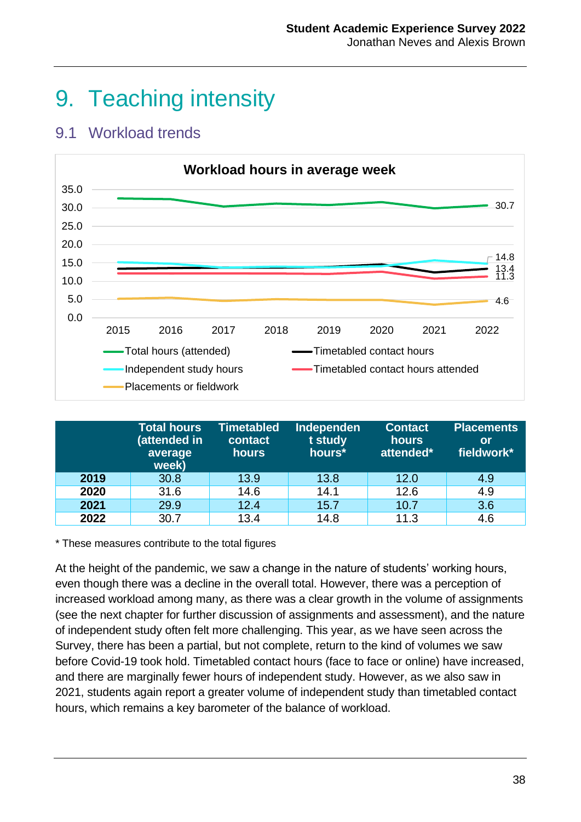### 9. Teaching intensity

#### 9.1 Workload trends



|      | <b>Total hours</b><br>(attended in<br>average<br>week) | <b>Timetabled</b><br>contact<br>hours | <b>Independen</b><br>t study<br>hours* | <b>Contact</b><br>hours<br>attended* | <b>Placements</b><br><b>lor</b><br>fieldwork* |
|------|--------------------------------------------------------|---------------------------------------|----------------------------------------|--------------------------------------|-----------------------------------------------|
| 2019 | 30.8                                                   | 13.9                                  | 13.8                                   | 12.0                                 | 4.9                                           |
| 2020 | 31.6                                                   | 14.6                                  | 14.1                                   | 12.6                                 | 4.9                                           |
| 2021 | 29.9                                                   | 12.4                                  | 15.7                                   | 10.7                                 | 3.6                                           |
| 2022 | 30.7                                                   | 13.4                                  | 14.8                                   | 11.3                                 | 4.6                                           |

\* These measures contribute to the total figures

At the height of the pandemic, we saw a change in the nature of students' working hours, even though there was a decline in the overall total. However, there was a perception of increased workload among many, as there was a clear growth in the volume of assignments (see the next chapter for further discussion of assignments and assessment), and the nature of independent study often felt more challenging. This year, as we have seen across the Survey, there has been a partial, but not complete, return to the kind of volumes we saw before Covid-19 took hold. Timetabled contact hours (face to face or online) have increased, and there are marginally fewer hours of independent study. However, as we also saw in 2021, students again report a greater volume of independent study than timetabled contact hours, which remains a key barometer of the balance of workload.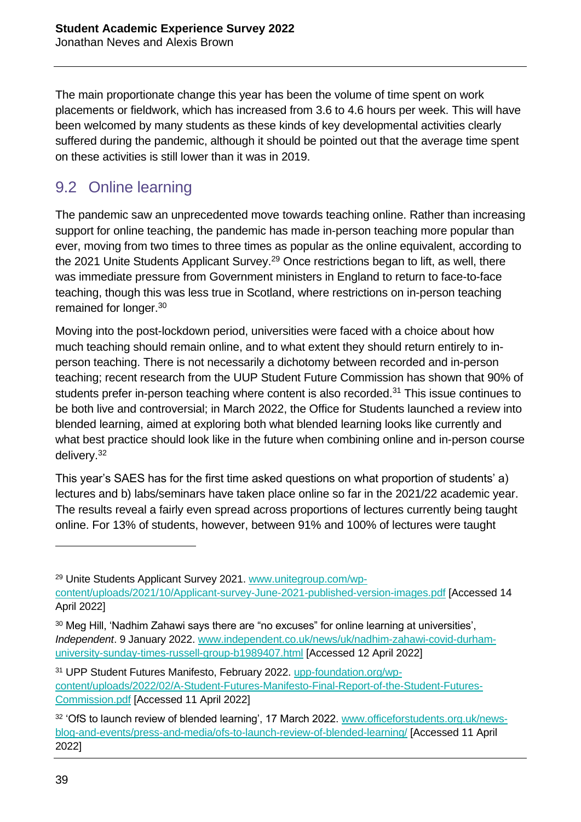The main proportionate change this year has been the volume of time spent on work placements or fieldwork, which has increased from 3.6 to 4.6 hours per week. This will have been welcomed by many students as these kinds of key developmental activities clearly suffered during the pandemic, although it should be pointed out that the average time spent on these activities is still lower than it was in 2019.

### 9.2 Online learning

The pandemic saw an unprecedented move towards teaching online. Rather than increasing support for online teaching, the pandemic has made in-person teaching more popular than ever, moving from two times to three times as popular as the online equivalent, according to the 2021 Unite Students Applicant Survey.<sup>29</sup> Once restrictions began to lift, as well, there was immediate pressure from Government ministers in England to return to face-to-face teaching, though this was less true in Scotland, where restrictions on in-person teaching remained for longer.<sup>30</sup>

Moving into the post-lockdown period, universities were faced with a choice about how much teaching should remain online, and to what extent they should return entirely to inperson teaching. There is not necessarily a dichotomy between recorded and in-person teaching; recent research from the UUP Student Future Commission has shown that 90% of students prefer in-person teaching where content is also recorded.<sup>31</sup> This issue continues to be both live and controversial; in March 2022, the Office for Students launched a review into blended learning, aimed at exploring both what blended learning looks like currently and what best practice should look like in the future when combining online and in-person course delivery.<sup>32</sup>

This year's SAES has for the first time asked questions on what proportion of students' a) lectures and b) labs/seminars have taken place online so far in the 2021/22 academic year. The results reveal a fairly even spread across proportions of lectures currently being taught online. For 13% of students, however, between 91% and 100% of lectures were taught

<sup>29</sup> Unite Students Applicant Survey 2021. [www.unitegroup.com/wp](http://www.unitegroup.com/wp-content/uploads/2021/10/Applicant-survey-June-2021-published-version-images.pdf)[content/uploads/2021/10/Applicant-survey-June-2021-published-version-images.pdf](http://www.unitegroup.com/wp-content/uploads/2021/10/Applicant-survey-June-2021-published-version-images.pdf) [Accessed 14 April 2022]

<sup>&</sup>lt;sup>30</sup> Meg Hill, 'Nadhim Zahawi says there are "no excuses" for online learning at universities', *Independent*. 9 January 2022. [www.independent.co.uk/news/uk/nadhim-zahawi-covid-durham](http://www.independent.co.uk/news/uk/nadhim-zahawi-covid-durham-university-sunday-times-russell-group-b1989407.html)[university-sunday-times-russell-group-b1989407.html](http://www.independent.co.uk/news/uk/nadhim-zahawi-covid-durham-university-sunday-times-russell-group-b1989407.html) [Accessed 12 April 2022]

<sup>31</sup> UPP Student Futures Manifesto, February 2022. [upp-foundation.org/wp](https://upp-foundation.org/wp-content/uploads/2022/02/A-Student-Futures-Manifesto-Final-Report-of-the-Student-Futures-Commission.pdf)[content/uploads/2022/02/A-Student-Futures-Manifesto-Final-Report-of-the-Student-Futures-](https://upp-foundation.org/wp-content/uploads/2022/02/A-Student-Futures-Manifesto-Final-Report-of-the-Student-Futures-Commission.pdf)[Commission.pdf](https://upp-foundation.org/wp-content/uploads/2022/02/A-Student-Futures-Manifesto-Final-Report-of-the-Student-Futures-Commission.pdf) [Accessed 11 April 2022]

<sup>&</sup>lt;sup>32</sup> 'OfS to launch review of blended learning', 17 March 2022. [www.officeforstudents.org.uk/news](http://www.officeforstudents.org.uk/news-blog-and-events/press-and-media/ofs-to-launch-review-of-blended-learning/)[blog-and-events/press-and-media/ofs-to-launch-review-of-blended-learning/](http://www.officeforstudents.org.uk/news-blog-and-events/press-and-media/ofs-to-launch-review-of-blended-learning/) [Accessed 11 April 2022]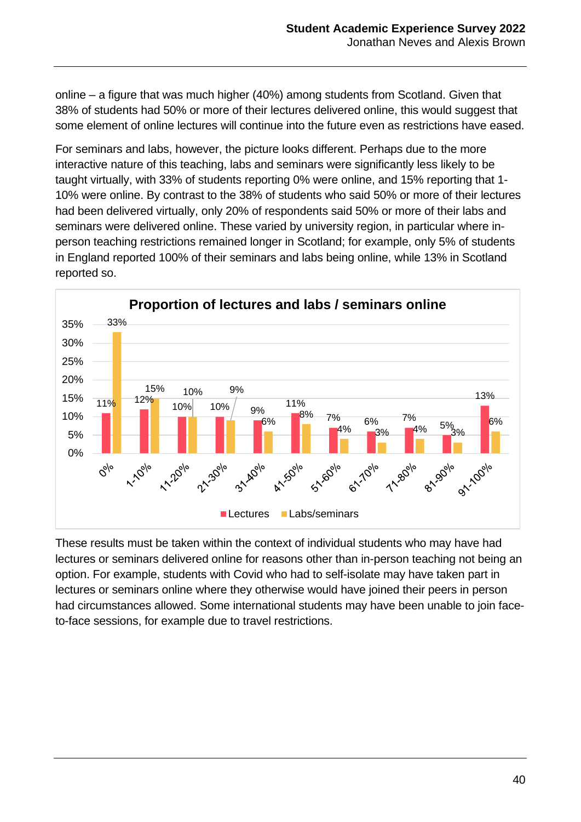online – a figure that was much higher (40%) among students from Scotland. Given that 38% of students had 50% or more of their lectures delivered online, this would suggest that some element of online lectures will continue into the future even as restrictions have eased.

For seminars and labs, however, the picture looks different. Perhaps due to the more interactive nature of this teaching, labs and seminars were significantly less likely to be taught virtually, with 33% of students reporting 0% were online, and 15% reporting that 1- 10% were online. By contrast to the 38% of students who said 50% or more of their lectures had been delivered virtually, only 20% of respondents said 50% or more of their labs and seminars were delivered online. These varied by university region, in particular where inperson teaching restrictions remained longer in Scotland; for example, only 5% of students in England reported 100% of their seminars and labs being online, while 13% in Scotland reported so.



These results must be taken within the context of individual students who may have had lectures or seminars delivered online for reasons other than in-person teaching not being an option. For example, students with Covid who had to self-isolate may have taken part in lectures or seminars online where they otherwise would have joined their peers in person had circumstances allowed. Some international students may have been unable to join faceto-face sessions, for example due to travel restrictions.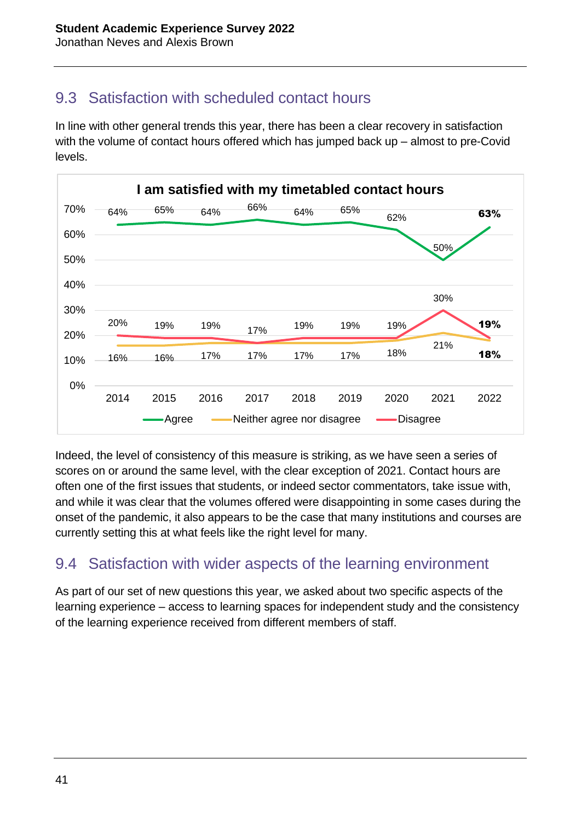#### 9.3 Satisfaction with scheduled contact hours

In line with other general trends this year, there has been a clear recovery in satisfaction with the volume of contact hours offered which has jumped back up – almost to pre-Covid levels.



Indeed, the level of consistency of this measure is striking, as we have seen a series of scores on or around the same level, with the clear exception of 2021. Contact hours are often one of the first issues that students, or indeed sector commentators, take issue with, and while it was clear that the volumes offered were disappointing in some cases during the onset of the pandemic, it also appears to be the case that many institutions and courses are currently setting this at what feels like the right level for many.

### 9.4 Satisfaction with wider aspects of the learning environment

As part of our set of new questions this year, we asked about two specific aspects of the learning experience – access to learning spaces for independent study and the consistency of the learning experience received from different members of staff.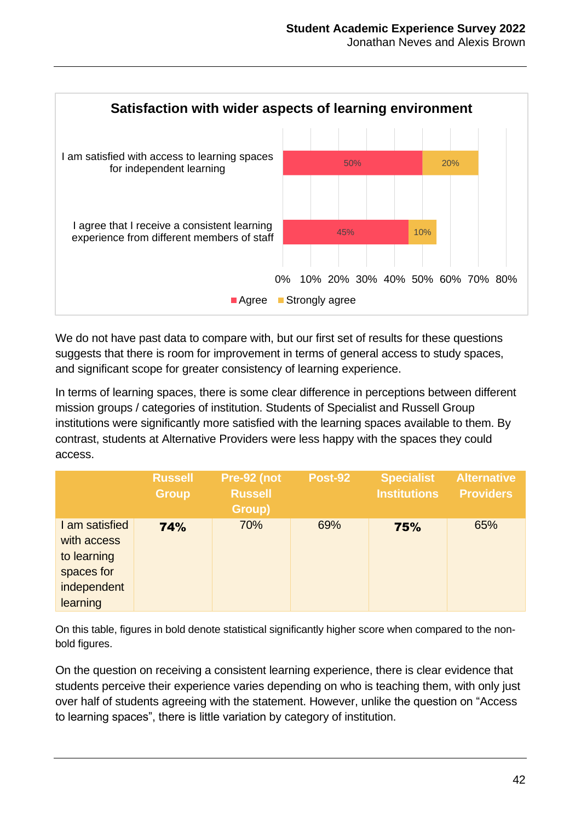

We do not have past data to compare with, but our first set of results for these questions suggests that there is room for improvement in terms of general access to study spaces, and significant scope for greater consistency of learning experience.

In terms of learning spaces, there is some clear difference in perceptions between different mission groups / categories of institution. Students of Specialist and Russell Group institutions were significantly more satisfied with the learning spaces available to them. By contrast, students at Alternative Providers were less happy with the spaces they could access.

|                                                                                       | <b>Russell</b><br><b>Group</b> | Pre-92 (not<br><b>Russell</b><br>Group) | <b>Post-92</b> | <b>Specialist</b><br><b>Institutions</b> | <b>Alternative</b><br><b>Providers</b> |
|---------------------------------------------------------------------------------------|--------------------------------|-----------------------------------------|----------------|------------------------------------------|----------------------------------------|
| I am satisfied<br>with access<br>to learning<br>spaces for<br>independent<br>learning | 74%                            | 70%                                     | 69%            | 75%                                      | 65%                                    |

On this table, figures in bold denote statistical significantly higher score when compared to the nonbold figures.

On the question on receiving a consistent learning experience, there is clear evidence that students perceive their experience varies depending on who is teaching them, with only just over half of students agreeing with the statement. However, unlike the question on "Access to learning spaces", there is little variation by category of institution.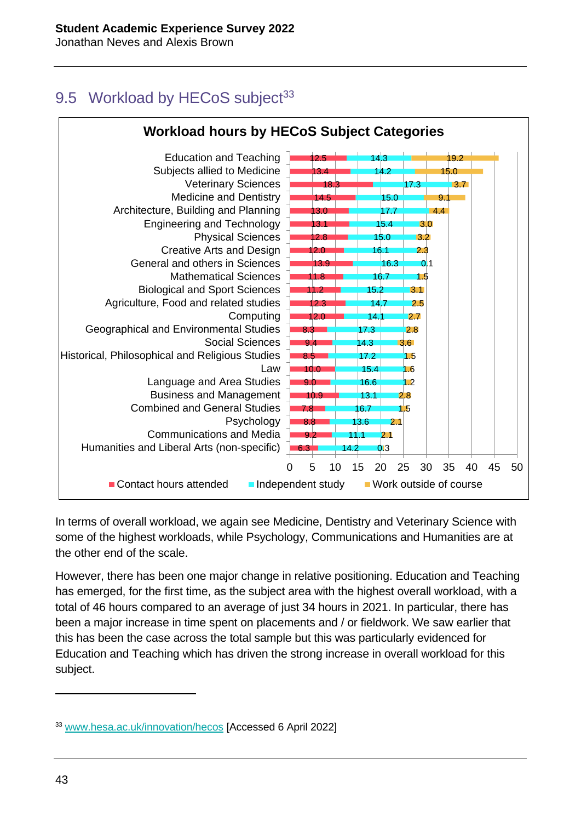### 9.5 Workload by HECoS subject<sup>33</sup>



In terms of overall workload, we again see Medicine, Dentistry and Veterinary Science with some of the highest workloads, while Psychology, Communications and Humanities are at the other end of the scale.

However, there has been one major change in relative positioning. Education and Teaching has emerged, for the first time, as the subject area with the highest overall workload, with a total of 46 hours compared to an average of just 34 hours in 2021. In particular, there has been a major increase in time spent on placements and / or fieldwork. We saw earlier that this has been the case across the total sample but this was particularly evidenced for Education and Teaching which has driven the strong increase in overall workload for this subject.

<sup>33</sup> [www.hesa.ac.uk/innovation/hecos](http://www.hesa.ac.uk/innovation/hecos) [Accessed 6 April 2022]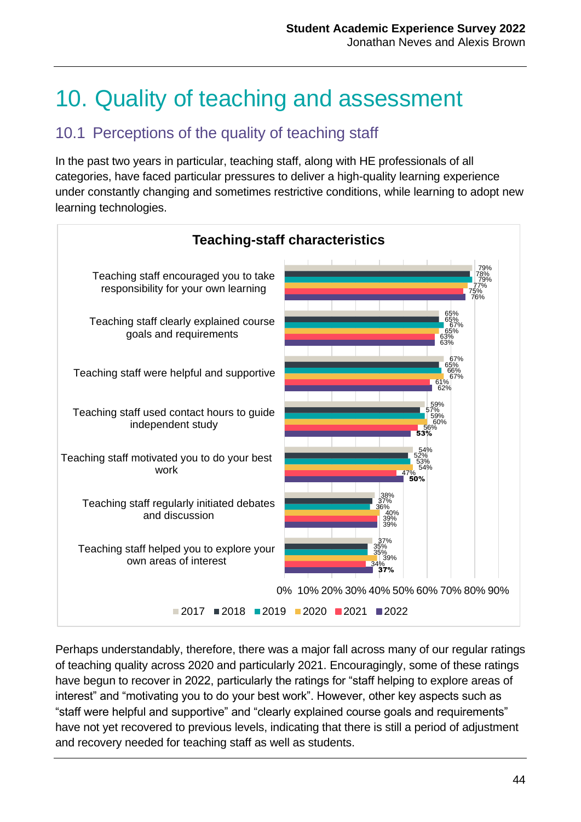## 10. Quality of teaching and assessment

#### 10.1 Perceptions of the quality of teaching staff

In the past two years in particular, teaching staff, along with HE professionals of all categories, have faced particular pressures to deliver a high-quality learning experience under constantly changing and sometimes restrictive conditions, while learning to adopt new learning technologies.



Perhaps understandably, therefore, there was a major fall across many of our regular ratings of teaching quality across 2020 and particularly 2021. Encouragingly, some of these ratings have begun to recover in 2022, particularly the ratings for "staff helping to explore areas of interest" and "motivating you to do your best work". However, other key aspects such as "staff were helpful and supportive" and "clearly explained course goals and requirements" have not yet recovered to previous levels, indicating that there is still a period of adjustment and recovery needed for teaching staff as well as students.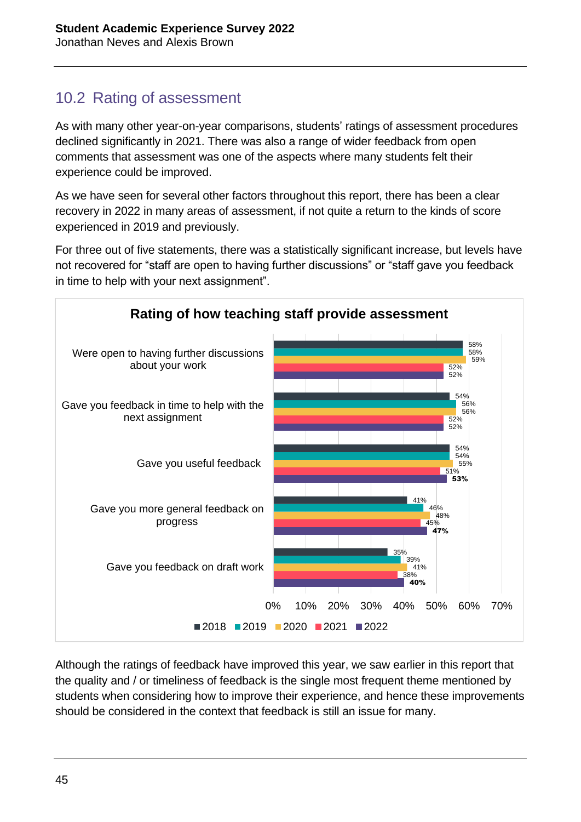### 10.2 Rating of assessment

As with many other year-on-year comparisons, students' ratings of assessment procedures declined significantly in 2021. There was also a range of wider feedback from open comments that assessment was one of the aspects where many students felt their experience could be improved.

As we have seen for several other factors throughout this report, there has been a clear recovery in 2022 in many areas of assessment, if not quite a return to the kinds of score experienced in 2019 and previously.

For three out of five statements, there was a statistically significant increase, but levels have not recovered for "staff are open to having further discussions" or "staff gave you feedback in time to help with your next assignment".



Although the ratings of feedback have improved this year, we saw earlier in this report that the quality and / or timeliness of feedback is the single most frequent theme mentioned by students when considering how to improve their experience, and hence these improvements should be considered in the context that feedback is still an issue for many.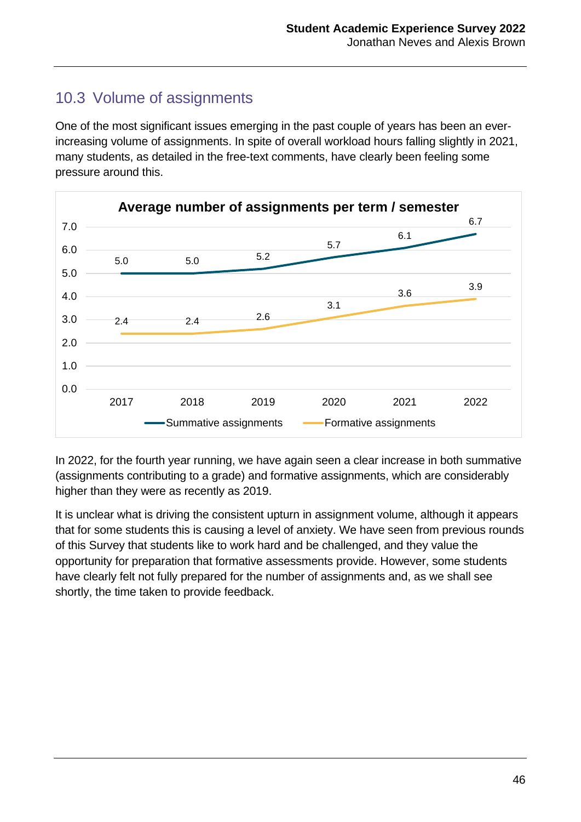### 10.3 Volume of assignments

One of the most significant issues emerging in the past couple of years has been an everincreasing volume of assignments. In spite of overall workload hours falling slightly in 2021, many students, as detailed in the free-text comments, have clearly been feeling some pressure around this.



In 2022, for the fourth year running, we have again seen a clear increase in both summative (assignments contributing to a grade) and formative assignments, which are considerably higher than they were as recently as 2019.

It is unclear what is driving the consistent upturn in assignment volume, although it appears that for some students this is causing a level of anxiety. We have seen from previous rounds of this Survey that students like to work hard and be challenged, and they value the opportunity for preparation that formative assessments provide. However, some students have clearly felt not fully prepared for the number of assignments and, as we shall see shortly, the time taken to provide feedback.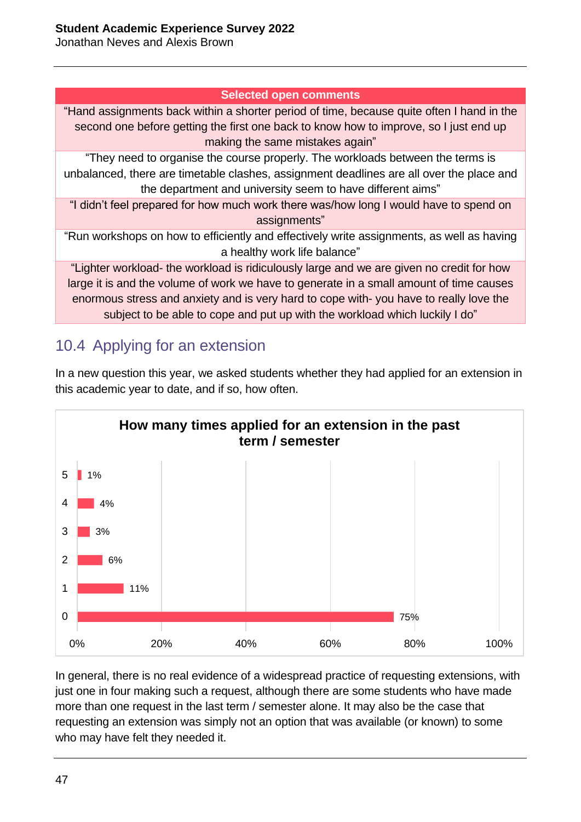Jonathan Neves and Alexis Brown

#### **Selected open comments**

"Hand assignments back within a shorter period of time, because quite often I hand in the second one before getting the first one back to know how to improve, so I just end up making the same mistakes again"

"They need to organise the course properly. The workloads between the terms is unbalanced, there are timetable clashes, assignment deadlines are all over the place and the department and university seem to have different aims"

"I didn't feel prepared for how much work there was/how long I would have to spend on assignments"

"Run workshops on how to efficiently and effectively write assignments, as well as having a healthy work life balance"

"Lighter workload- the workload is ridiculously large and we are given no credit for how large it is and the volume of work we have to generate in a small amount of time causes enormous stress and anxiety and is very hard to cope with- you have to really love the subject to be able to cope and put up with the workload which luckily I do"

#### 10.4 Applying for an extension



In a new question this year, we asked students whether they had applied for an extension in this academic year to date, and if so, how often.

In general, there is no real evidence of a widespread practice of requesting extensions, with just one in four making such a request, although there are some students who have made more than one request in the last term / semester alone. It may also be the case that requesting an extension was simply not an option that was available (or known) to some who may have felt they needed it.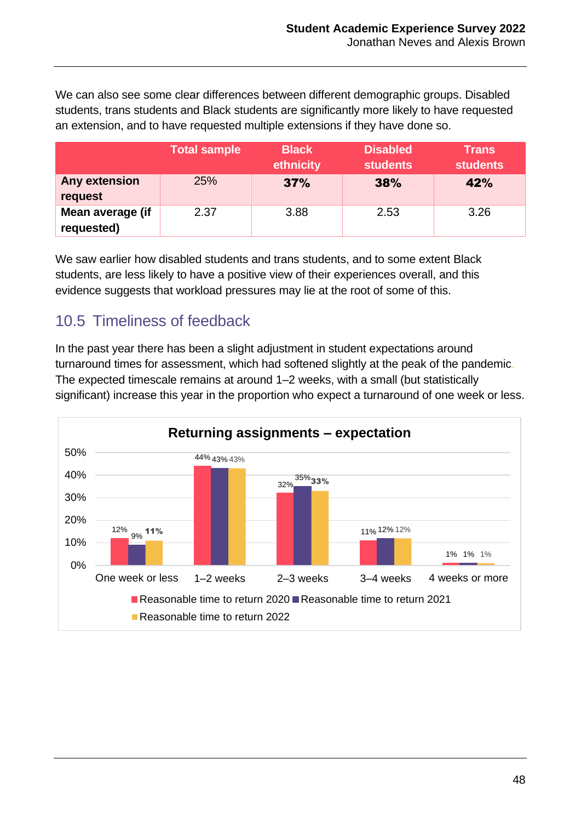We can also see some clear differences between different demographic groups. Disabled students, trans students and Black students are significantly more likely to have requested an extension, and to have requested multiple extensions if they have done so.

|                                | <b>Total sample</b> | <b>Black</b><br>ethnicity | <b>Disabled</b><br><b>students</b> | <b>Trans</b><br>students |
|--------------------------------|---------------------|---------------------------|------------------------------------|--------------------------|
| Any extension<br>request       | <b>25%</b>          | 37%                       | 38%                                | 42%                      |
| Mean average (if<br>requested) | 2.37                | 3.88                      | 2.53                               | 3.26                     |

We saw earlier how disabled students and trans students, and to some extent Black students, are less likely to have a positive view of their experiences overall, and this evidence suggests that workload pressures may lie at the root of some of this.

#### 10.5 Timeliness of feedback

In the past year there has been a slight adjustment in student expectations around turnaround times for assessment, which had softened slightly at the peak of the pandemic. The expected timescale remains at around 1–2 weeks, with a small (but statistically significant) increase this year in the proportion who expect a turnaround of one week or less.

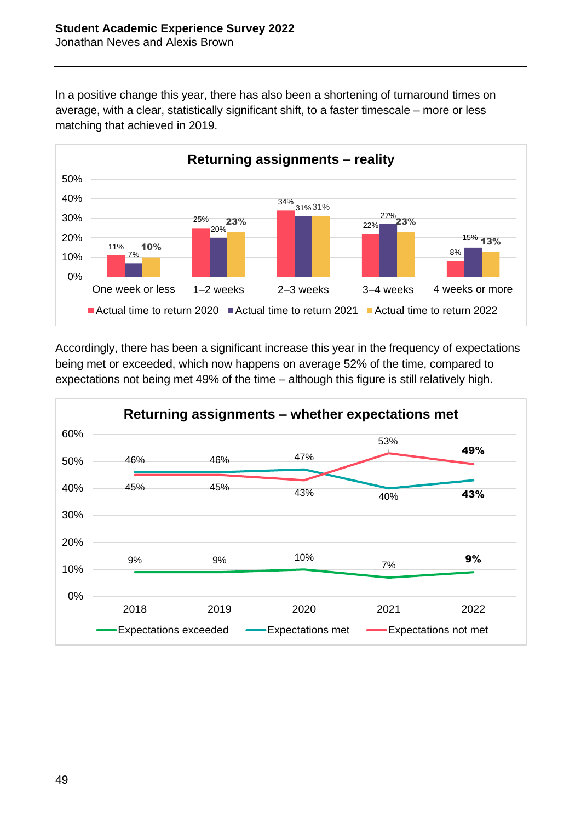In a positive change this year, there has also been a shortening of turnaround times on average, with a clear, statistically significant shift, to a faster timescale – more or less matching that achieved in 2019.



Accordingly, there has been a significant increase this year in the frequency of expectations being met or exceeded, which now happens on average 52% of the time, compared to expectations not being met 49% of the time – although this figure is still relatively high.

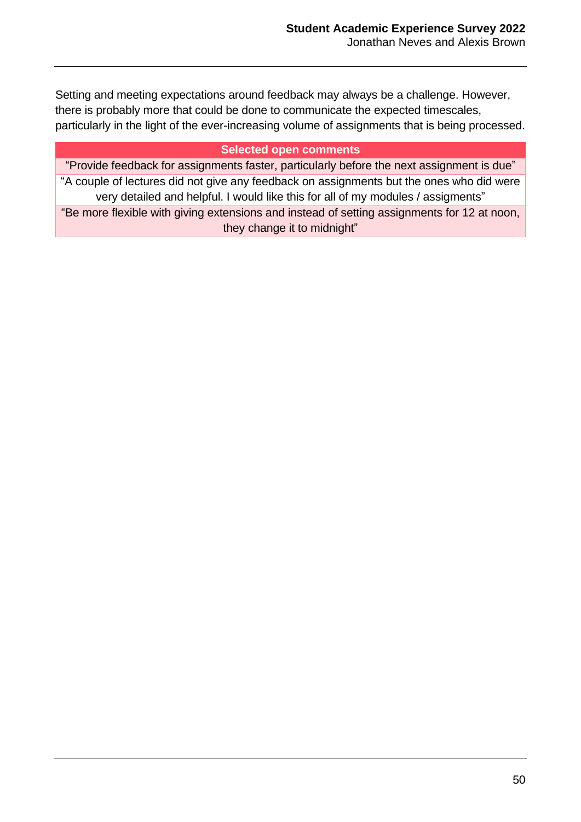Setting and meeting expectations around feedback may always be a challenge. However, there is probably more that could be done to communicate the expected timescales, particularly in the light of the ever-increasing volume of assignments that is being processed.

#### **Selected open comments**

"Provide feedback for assignments faster, particularly before the next assignment is due" "A couple of lectures did not give any feedback on assignments but the ones who did were very detailed and helpful. I would like this for all of my modules / assigments" "Be more flexible with giving extensions and instead of setting assignments for 12 at noon, they change it to midnight"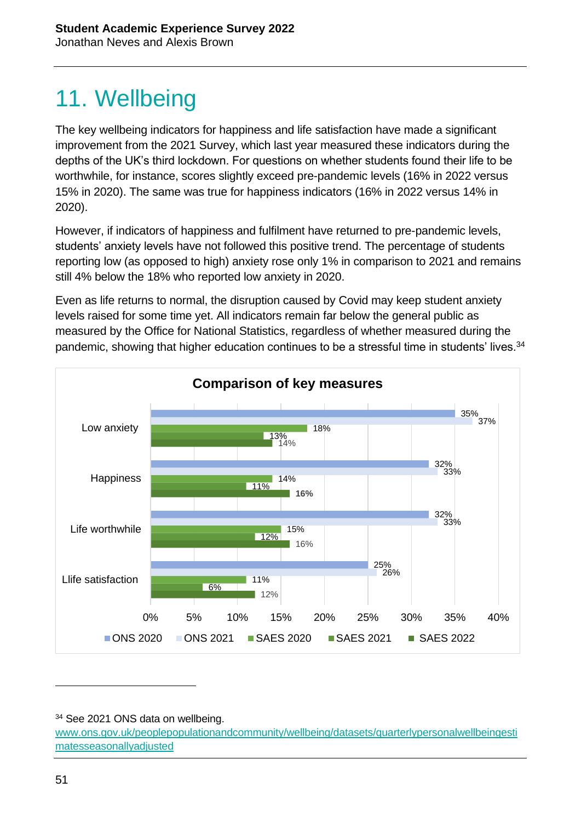## 11. Wellbeing

The key wellbeing indicators for happiness and life satisfaction have made a significant improvement from the 2021 Survey, which last year measured these indicators during the depths of the UK's third lockdown. For questions on whether students found their life to be worthwhile, for instance, scores slightly exceed pre-pandemic levels (16% in 2022 versus 15% in 2020). The same was true for happiness indicators (16% in 2022 versus 14% in 2020).

However, if indicators of happiness and fulfilment have returned to pre-pandemic levels, students' anxiety levels have not followed this positive trend. The percentage of students reporting low (as opposed to high) anxiety rose only 1% in comparison to 2021 and remains still 4% below the 18% who reported low anxiety in 2020.

Even as life returns to normal, the disruption caused by Covid may keep student anxiety levels raised for some time yet. All indicators remain far below the general public as measured by the Office for National Statistics, regardless of whether measured during the pandemic, showing that higher education continues to be a stressful time in students' lives.<sup>34</sup>



<sup>&</sup>lt;sup>34</sup> See 2021 ONS data on wellbeing.

[www.ons.gov.uk/peoplepopulationandcommunity/wellbeing/datasets/quarterlypersonalwellbeingesti](http://www.ons.gov.uk/peoplepopulationandcommunity/wellbeing/datasets/quarterlypersonalwellbeingestimatesseasonallyadjusted) [matesseasonallyadjusted](http://www.ons.gov.uk/peoplepopulationandcommunity/wellbeing/datasets/quarterlypersonalwellbeingestimatesseasonallyadjusted)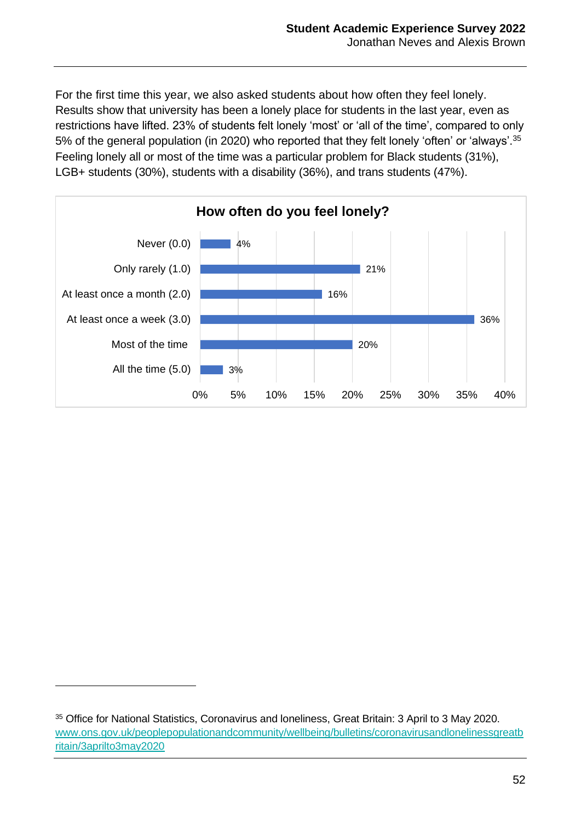For the first time this year, we also asked students about how often they feel lonely. Results show that university has been a lonely place for students in the last year, even as restrictions have lifted. 23% of students felt lonely 'most' or 'all of the time', compared to only 5% of the general population (in 2020) who reported that they felt lonely 'often' or 'always'.<sup>35</sup> Feeling lonely all or most of the time was a particular problem for Black students (31%), LGB+ students (30%), students with a disability (36%), and trans students (47%).



<sup>35</sup> Office for National Statistics, Coronavirus and loneliness, Great Britain: 3 April to 3 May 2020. [www.ons.gov.uk/peoplepopulationandcommunity/wellbeing/bulletins/coronavirusandlonelinessgreatb](http://www.ons.gov.uk/peoplepopulationandcommunity/wellbeing/bulletins/coronavirusandlonelinessgreatbritain/3aprilto3may2020) [ritain/3aprilto3may2020](http://www.ons.gov.uk/peoplepopulationandcommunity/wellbeing/bulletins/coronavirusandlonelinessgreatbritain/3aprilto3may2020)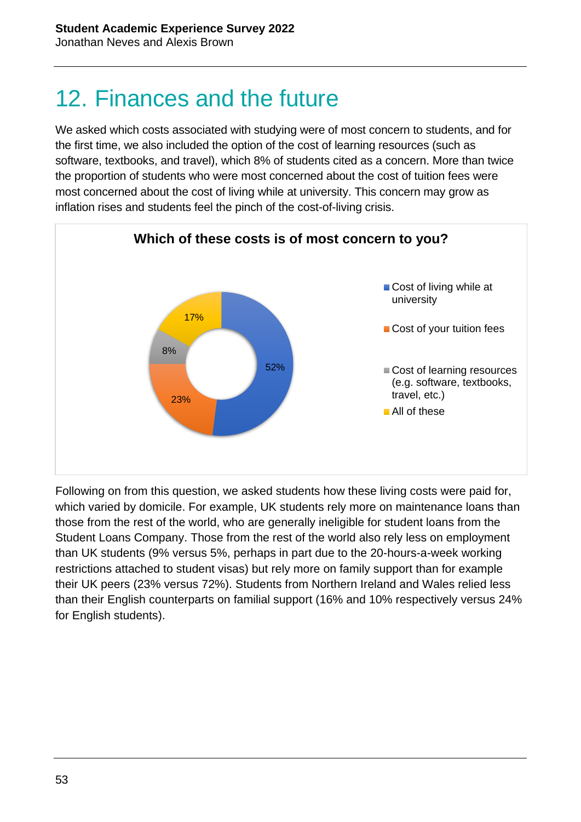## 12. Finances and the future

We asked which costs associated with studying were of most concern to students, and for the first time, we also included the option of the cost of learning resources (such as software, textbooks, and travel), which 8% of students cited as a concern. More than twice the proportion of students who were most concerned about the cost of tuition fees were most concerned about the cost of living while at university. This concern may grow as inflation rises and students feel the pinch of the cost-of-living crisis.



Following on from this question, we asked students how these living costs were paid for, which varied by domicile. For example, UK students rely more on maintenance loans than those from the rest of the world, who are generally ineligible for student loans from the Student Loans Company. Those from the rest of the world also rely less on employment than UK students (9% versus 5%, perhaps in part due to the 20-hours-a-week working restrictions attached to student visas) but rely more on family support than for example their UK peers (23% versus 72%). Students from Northern Ireland and Wales relied less than their English counterparts on familial support (16% and 10% respectively versus 24% for English students).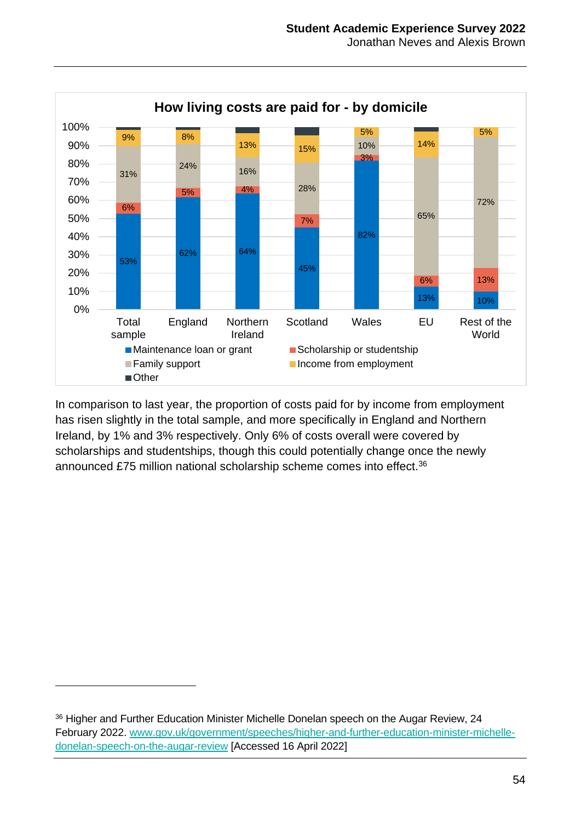

In comparison to last year, the proportion of costs paid for by income from employment has risen slightly in the total sample, and more specifically in England and Northern Ireland, by 1% and 3% respectively. Only 6% of costs overall were covered by scholarships and studentships, though this could potentially change once the newly announced £75 million national scholarship scheme comes into effect.<sup>36</sup>

<sup>&</sup>lt;sup>36</sup> Higher and Further Education Minister Michelle Donelan speech on the Augar Review, 24 February 2022. [www.gov.uk/government/speeches/higher-and-further-education-minister-michelle](http://www.gov.uk/government/speeches/higher-and-further-education-minister-michelle-donelan-speech-on-the-augar-review)[donelan-speech-on-the-augar-review](http://www.gov.uk/government/speeches/higher-and-further-education-minister-michelle-donelan-speech-on-the-augar-review) [Accessed 16 April 2022]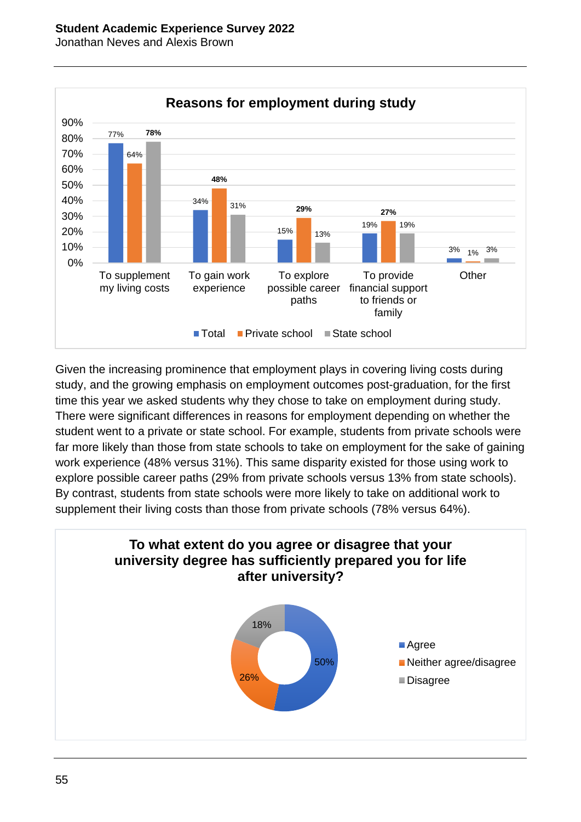Jonathan Neves and Alexis Brown



Given the increasing prominence that employment plays in covering living costs during study, and the growing emphasis on employment outcomes post-graduation, for the first time this year we asked students why they chose to take on employment during study. There were significant differences in reasons for employment depending on whether the student went to a private or state school. For example, students from private schools were far more likely than those from state schools to take on employment for the sake of gaining work experience (48% versus 31%). This same disparity existed for those using work to explore possible career paths (29% from private schools versus 13% from state schools). By contrast, students from state schools were more likely to take on additional work to supplement their living costs than those from private schools (78% versus 64%).

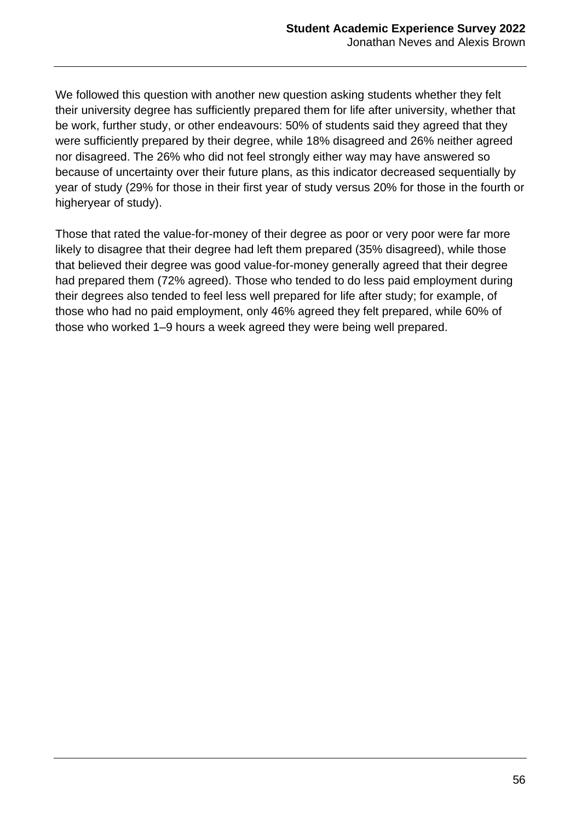We followed this question with another new question asking students whether they felt their university degree has sufficiently prepared them for life after university, whether that be work, further study, or other endeavours: 50% of students said they agreed that they were sufficiently prepared by their degree, while 18% disagreed and 26% neither agreed nor disagreed. The 26% who did not feel strongly either way may have answered so because of uncertainty over their future plans, as this indicator decreased sequentially by year of study (29% for those in their first year of study versus 20% for those in the fourth or higheryear of study).

Those that rated the value-for-money of their degree as poor or very poor were far more likely to disagree that their degree had left them prepared (35% disagreed), while those that believed their degree was good value-for-money generally agreed that their degree had prepared them (72% agreed). Those who tended to do less paid employment during their degrees also tended to feel less well prepared for life after study; for example, of those who had no paid employment, only 46% agreed they felt prepared, while 60% of those who worked 1–9 hours a week agreed they were being well prepared.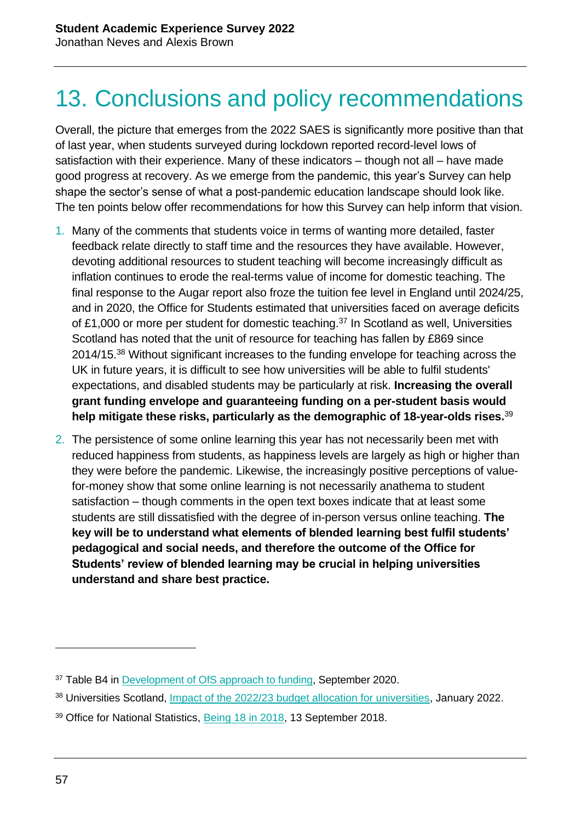## 13. Conclusions and policy recommendations

Overall, the picture that emerges from the 2022 SAES is significantly more positive than that of last year, when students surveyed during lockdown reported record-level lows of satisfaction with their experience. Many of these indicators – though not all – have made good progress at recovery. As we emerge from the pandemic, this year's Survey can help shape the sector's sense of what a post-pandemic education landscape should look like. The ten points below offer recommendations for how this Survey can help inform that vision.

- 1. Many of the comments that students voice in terms of wanting more detailed, faster feedback relate directly to staff time and the resources they have available. However, devoting additional resources to student teaching will become increasingly difficult as inflation continues to erode the real-terms value of income for domestic teaching. The final response to the Augar report also froze the tuition fee level in England until 2024/25, and in 2020, the Office for Students estimated that universities faced on average deficits of £1,000 or more per student for domestic teaching.<sup>37</sup> In Scotland as well, Universities Scotland has noted that the unit of resource for teaching has fallen by £869 since 2014/15.<sup>38</sup> Without significant increases to the funding envelope for teaching across the UK in future years, it is difficult to see how universities will be able to fulfil students' expectations, and disabled students may be particularly at risk. **Increasing the overall grant funding envelope and guaranteeing funding on a per-student basis would help mitigate these risks, particularly as the demographic of 18-year-olds rises.**<sup>39</sup>
- 2. The persistence of some online learning this year has not necessarily been met with reduced happiness from students, as happiness levels are largely as high or higher than they were before the pandemic. Likewise, the increasingly positive perceptions of valuefor-money show that some online learning is not necessarily anathema to student satisfaction – though comments in the open text boxes indicate that at least some students are still dissatisfied with the degree of in-person versus online teaching. **The key will be to understand what elements of blended learning best fulfil students' pedagogical and social needs, and therefore the outcome of the Office for Students' review of blended learning may be crucial in helping universities understand and share best practice.**

<sup>&</sup>lt;sup>37</sup> Table B4 in [Development of OfS approach to funding,](http://www.officeforstudents.org.uk/media/c05f5cc5-0f89-487f-931a-364543493040/web-bd-2020-sept-101-development-of-the-ofs-s-approach-to-funding.pdf) September 2020.

<sup>&</sup>lt;sup>38</sup> Universities Scotland, [Impact of the 2022/23 budget allocation for universities,](http://www.universities-scotland.ac.uk/wp-content/uploads/2022/01/HE-financial-metrics-2022-23-Budget-1.pdf) January 2022.

<sup>&</sup>lt;sup>39</sup> Office for National Statistics, [Being 18 in 2018,](http://www.ons.gov.uk/peoplepopulationandcommunity/populationandmigration/populationprojections/articles/being18in2018/2018-09-13) 13 September 2018.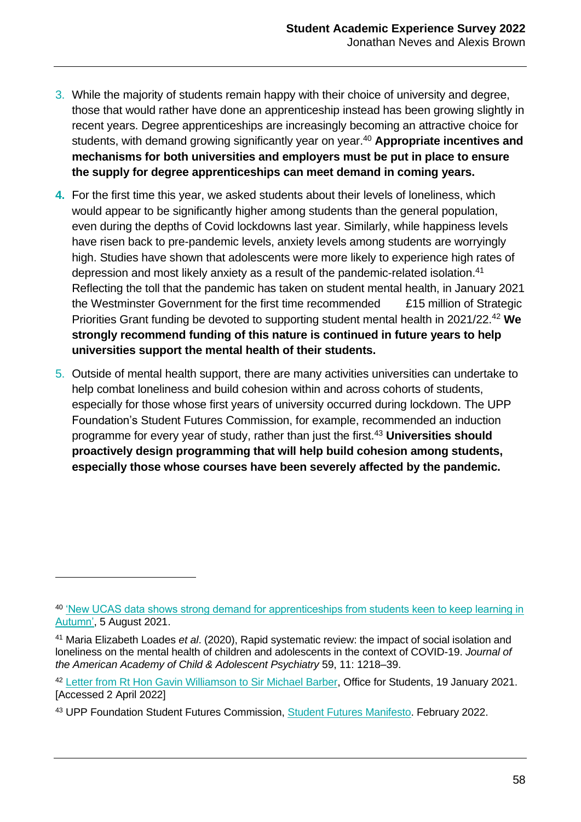- 3. While the majority of students remain happy with their choice of university and degree, those that would rather have done an apprenticeship instead has been growing slightly in recent years. Degree apprenticeships are increasingly becoming an attractive choice for students, with demand growing significantly year on year.<sup>40</sup> Appropriate incentives and **mechanisms for both universities and employers must be put in place to ensure the supply for degree apprenticeships can meet demand in coming years.**
- **4.** For the first time this year, we asked students about their levels of loneliness, which would appear to be significantly higher among students than the general population, even during the depths of Covid lockdowns last year. Similarly, while happiness levels have risen back to pre-pandemic levels, anxiety levels among students are worryingly high. Studies have shown that adolescents were more likely to experience high rates of depression and most likely anxiety as a result of the pandemic-related isolation.<sup>41</sup> Reflecting the toll that the pandemic has taken on student mental health, in January 2021 the Westminster Government for the first time recommended £15 million of Strategic Priorities Grant funding be devoted to supporting student mental health in 2021/22.<sup>42</sup> **We strongly recommend funding of this nature is continued in future years to help universities support the mental health of their students.**
- 5. Outside of mental health support, there are many activities universities can undertake to help combat loneliness and build cohesion within and across cohorts of students, especially for those whose first years of university occurred during lockdown. The UPP Foundation's Student Futures Commission, for example, recommended an induction programme for every year of study, rather than just the first.<sup>43</sup> **Universities should proactively design programming that will help build cohesion among students, especially those whose courses have been severely affected by the pandemic.**

<sup>40</sup> ['New UCAS data shows strong demand for apprenticeships from students keen to keep learning in](http://www.ucas.com/corporate/news-and-key-documents/news/new-ucas-research-shows-strong-demand-apprenticeships-students-keen-keep-learning-autumn#:~:text=UCAS)  [Autumn',](http://www.ucas.com/corporate/news-and-key-documents/news/new-ucas-research-shows-strong-demand-apprenticeships-students-keen-keep-learning-autumn#:~:text=UCAS) 5 August 2021.

<sup>41</sup> Maria Elizabeth Loades *et al*. (2020), Rapid systematic review: the impact of social isolation and loneliness on the mental health of children and adolescents in the context of COVID-19. *Journal of the American Academy of Child & Adolescent Psychiatry* 59, 11: 1218–39.

<sup>42</sup> [Letter from Rt Hon Gavin Williamson to Sir Michael Barber,](http://www.officeforstudents.org.uk/media/a3814453-4c28-404a-bf76-490183867d9a/rt-hon-gavin-williamson-cbe-mp-t-grant-ofs-chair-smb.pdf) Office for Students, 19 January 2021. [Accessed 2 April 2022]

<sup>43</sup> UPP Foundation Student Futures Commission, [Student Futures Manifesto.](upp-foundation.org/student-futures-commission/news/a-student-futures-manifesto/) February 2022.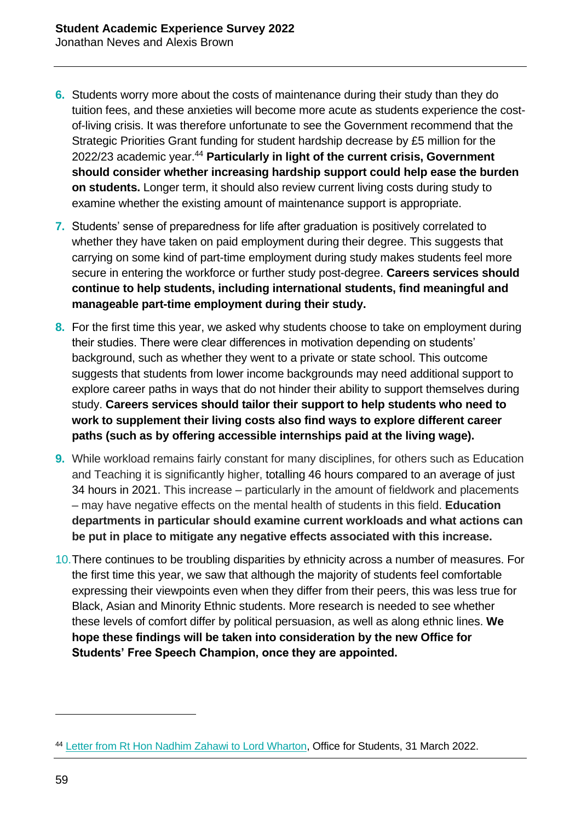- **6.** Students worry more about the costs of maintenance during their study than they do tuition fees, and these anxieties will become more acute as students experience the costof-living crisis. It was therefore unfortunate to see the Government recommend that the Strategic Priorities Grant funding for student hardship decrease by £5 million for the 2022/23 academic year.<sup>44</sup> **Particularly in light of the current crisis, Government should consider whether increasing hardship support could help ease the burden on students.** Longer term, it should also review current living costs during study to examine whether the existing amount of maintenance support is appropriate.
- **7.** Students' sense of preparedness for life after graduation is positively correlated to whether they have taken on paid employment during their degree. This suggests that carrying on some kind of part-time employment during study makes students feel more secure in entering the workforce or further study post-degree. **Careers services should continue to help students, including international students, find meaningful and manageable part-time employment during their study.**
- **8.** For the first time this year, we asked why students choose to take on employment during their studies. There were clear differences in motivation depending on students' background, such as whether they went to a private or state school. This outcome suggests that students from lower income backgrounds may need additional support to explore career paths in ways that do not hinder their ability to support themselves during study. **Careers services should tailor their support to help students who need to work to supplement their living costs also find ways to explore different career paths (such as by offering accessible internships paid at the living wage).**
- **9.** While workload remains fairly constant for many disciplines, for others such as Education and Teaching it is significantly higher, totalling 46 hours compared to an average of just 34 hours in 2021. This increase – particularly in the amount of fieldwork and placements – may have negative effects on the mental health of students in this field. **Education departments in particular should examine current workloads and what actions can be put in place to mitigate any negative effects associated with this increase.**
- 10. There continues to be troubling disparities by ethnicity across a number of measures. For the first time this year, we saw that although the majority of students feel comfortable expressing their viewpoints even when they differ from their peers, this was less true for Black, Asian and Minority Ethnic students. More research is needed to see whether these levels of comfort differ by political persuasion, as well as along ethnic lines. **We hope these findings will be taken into consideration by the new Office for Students' Free Speech Champion, once they are appointed.**

<sup>44</sup> [Letter from Rt Hon Nadhim Zahawi to Lord Wharton,](http://www.officeforstudents.org.uk/media/bb422aae-54fb-42c8-b5db-26e7ed48df80/strategic-priorities-grant-20220331_amend.pd) Office for Students, 31 March 2022.